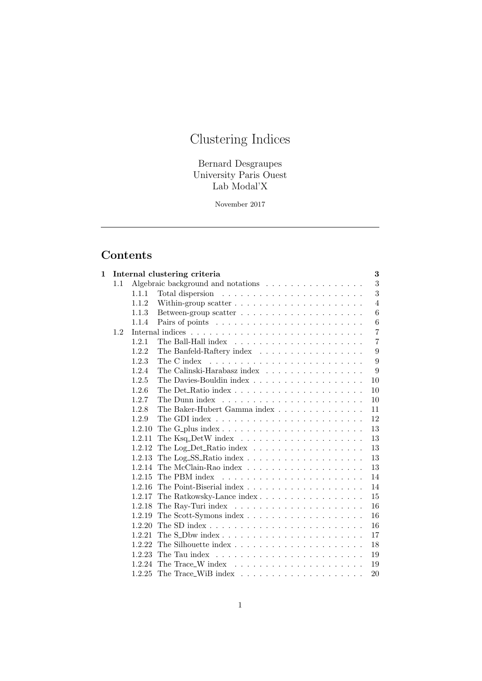# Clustering Indices

Bernard Desgraupes University Paris Ouest Lab Modal'X

November 2017

# Contents

| 1 |     |        | Internal clustering criteria<br>3                                                       |
|---|-----|--------|-----------------------------------------------------------------------------------------|
|   | 1.1 |        | 3<br>Algebraic background and notations                                                 |
|   |     | 1.1.1  | 3                                                                                       |
|   |     | 1.1.2  | $\overline{4}$                                                                          |
|   |     | 1.1.3  | 6                                                                                       |
|   |     | 1.1.4  | $\,6$                                                                                   |
|   | 1.2 |        | $\overline{7}$                                                                          |
|   |     | 1.2.1  | $\overline{7}$                                                                          |
|   |     | 1.2.2  | The Banfeld-Raftery index<br>9                                                          |
|   |     | 1.2.3  | 9<br>The C index                                                                        |
|   |     | 1.2.4  | The Calinski-Harabasz index<br>9                                                        |
|   |     | 1.2.5  | 10                                                                                      |
|   |     | 1.2.6  | 10                                                                                      |
|   |     | 1.2.7  | The Dunn index $\dots \dots \dots \dots \dots \dots \dots \dots \dots$<br>10            |
|   |     | 1.2.8  | The Baker-Hubert Gamma index<br>11                                                      |
|   |     | 1.2.9  | 12                                                                                      |
|   |     | 1.2.10 | The G_plus index $\ldots \ldots \ldots \ldots \ldots \ldots \ldots \ldots \ldots$<br>13 |
|   |     | 1.2.11 | 13                                                                                      |
|   |     | 1.2.12 | The Log_Det_Ratio index $\ldots \ldots \ldots \ldots \ldots \ldots$<br>13               |
|   |     | 1.2.13 | 13                                                                                      |
|   |     | 1.2.14 | 13                                                                                      |
|   |     | 1.2.15 | The PBM index<br>14                                                                     |
|   |     | 1.2.16 | 14                                                                                      |
|   |     | 1.2.17 | The Ratkowsky-Lance index<br>15                                                         |
|   |     | 1.2.18 | 16                                                                                      |
|   |     | 1.2.19 | 16                                                                                      |
|   |     | 1.2.20 | 16                                                                                      |
|   |     | 1.2.21 | 17                                                                                      |
|   |     | 1.2.22 | 18                                                                                      |
|   |     | 1.2.23 | 19                                                                                      |
|   |     | 1.2.24 | 19                                                                                      |
|   |     | 1.2.25 | 20                                                                                      |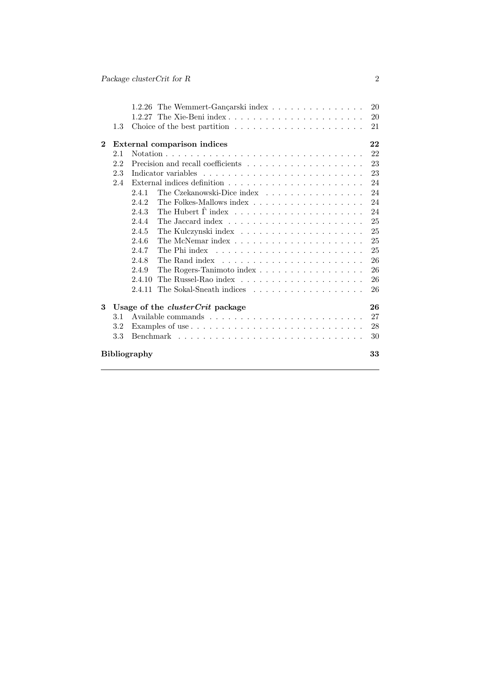|              |                           | 1.2.26 The Wemmert-Gançarski index                                                    | 20 |  |
|--------------|---------------------------|---------------------------------------------------------------------------------------|----|--|
|              |                           |                                                                                       | 20 |  |
|              | $1.3 -$                   |                                                                                       | 21 |  |
| $\mathbf{2}$ |                           | External comparison indices                                                           | 22 |  |
|              | 2.1                       |                                                                                       | 22 |  |
|              | 2.2                       |                                                                                       | 23 |  |
|              | 2.3                       |                                                                                       | 23 |  |
|              | 2.4                       | External indices definition $\ldots \ldots \ldots \ldots \ldots \ldots \ldots \ldots$ | 24 |  |
|              |                           | The Czekanowski-Dice index<br>2.4.1                                                   | 24 |  |
|              |                           | The Folkes-Mallows index $\ldots \ldots \ldots \ldots \ldots \ldots$<br>2.4.2         | 24 |  |
|              |                           | 2.4.3                                                                                 | 24 |  |
|              |                           | 2.4.4                                                                                 | 25 |  |
|              |                           | 2.4.5                                                                                 | 25 |  |
|              |                           | 2.4.6                                                                                 | 25 |  |
|              |                           | 2.4.7                                                                                 | 25 |  |
|              |                           | 2.4.8                                                                                 | 26 |  |
|              |                           | The Rogers-Tanimoto index<br>2.4.9                                                    | 26 |  |
|              |                           | 2.4.10                                                                                | 26 |  |
|              |                           |                                                                                       | 26 |  |
| 3            |                           | Usage of the <i>clusterCrit</i> package                                               | 26 |  |
|              | 3.1                       |                                                                                       | 27 |  |
|              | $3.2\,$                   |                                                                                       | 28 |  |
|              | $3.3\,$                   |                                                                                       | 30 |  |
|              | 33<br><b>Bibliography</b> |                                                                                       |    |  |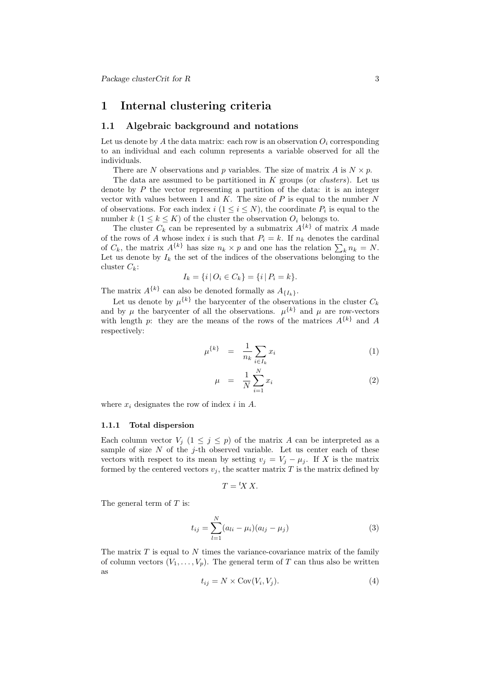# 1 Internal clustering criteria

# 1.1 Algebraic background and notations

Let us denote by A the data matrix: each row is an observation  $O_i$  corresponding to an individual and each column represents a variable observed for all the individuals.

There are N observations and p variables. The size of matrix A is  $N \times p$ .

The data are assumed to be partitioned in  $K$  groups (or *clusters*). Let us denote by  $P$  the vector representing a partition of the data: it is an integer vector with values between 1 and  $K$ . The size of  $P$  is equal to the number  $N$ of observations. For each index  $i$   $(1 \leq i \leq N)$ , the coordinate  $P_i$  is equal to the number  $k$   $(1 \leq k \leq K)$  of the cluster the observation  $O_i$  belongs to.

The cluster  $C_k$  can be represented by a submatrix  $A^{\{k\}}$  of matrix A made of the rows of A whose index i is such that  $P_i = k$ . If  $n_k$  denotes the cardinal of  $C_k$ , the matrix  $A^{\{k\}}$  has size  $n_k \times p$  and one has the relation  $\sum_k n_k = N$ . Let us denote by  $I_k$  the set of the indices of the observations belonging to the cluster  $C_k$ :

$$
I_k = \{i \,|\, O_i \in C_k\} = \{i \,|\, P_i = k\}.
$$

The matrix  $A^{\{k\}}$  can also be denoted formally as  $A_{\{I_k\}}$ .

Let us denote by  $\mu^{\{k\}}$  the barycenter of the observations in the cluster  $C_k$ and by  $\mu$  the barycenter of all the observations.  $\mu^{\{k\}}$  and  $\mu$  are row-vectors with length p: they are the means of the rows of the matrices  $A^{\{k\}}$  and A respectively:

$$
\mu^{\{k\}} = \frac{1}{n_k} \sum_{i \in I_k} x_i \tag{1}
$$

$$
\mu = \frac{1}{N} \sum_{i=1}^{N} x_i \tag{2}
$$

where  $x_i$  designates the row of index i in A.

#### 1.1.1 Total dispersion

Each column vector  $V_j$   $(1 \leq j \leq p)$  of the matrix A can be interpreted as a sample of size  $N$  of the j-th observed variable. Let us center each of these vectors with respect to its mean by setting  $v_j = V_j - \mu_j$ . If X is the matrix formed by the centered vectors  $v_j$ , the scatter matrix T is the matrix defined by

$$
T = {}^t X X.
$$

The general term of  $T$  is:

$$
t_{ij} = \sum_{l=1}^{N} (a_{li} - \mu_i)(a_{lj} - \mu_j)
$$
 (3)

The matrix  $T$  is equal to  $N$  times the variance-covariance matrix of the family of column vectors  $(V_1, \ldots, V_p)$ . The general term of T can thus also be written as

$$
t_{ij} = N \times \text{Cov}(V_i, V_j). \tag{4}
$$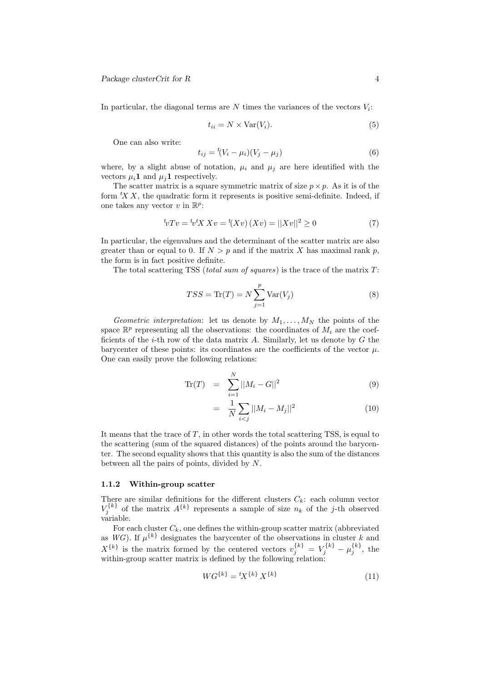In particular, the diagonal terms are  $N$  times the variances of the vectors  $V_i$ :

$$
t_{ii} = N \times \text{Var}(V_i). \tag{5}
$$

One can also write:

$$
t_{ij} = {}^{t}(V_i - \mu_i)(V_j - \mu_j)
$$
\n(6)

where, by a slight abuse of notation,  $\mu_i$  and  $\mu_j$  are here identified with the vectors  $\mu_i \mathbf{1}$  and  $\mu_i \mathbf{1}$  respectively.

The scatter matrix is a square symmetric matrix of size  $p \times p$ . As it is of the form  $X X$ , the quadratic form it represents is positive semi-definite. Indeed, if one takes any vector  $v$  in  $\mathbb{R}^p$ :

$$
{}^{t}\!vTv = {}^{t}\!v^tX Xv = {}^{t}\! (Xv) (Xv) = ||Xv||^2 \ge 0
$$
\n(7)

In particular, the eigenvalues and the determinant of the scatter matrix are also greater than or equal to 0. If  $N > p$  and if the matrix X has maximal rank p, the form is in fact positive definite.

The total scattering TSS (total sum of squares) is the trace of the matrix  $T$ :

$$
TSS = \text{Tr}(T) = N \sum_{j=1}^{p} \text{Var}(V_j)
$$
\n(8)

Geometric interpretation: let us denote by  $M_1, \ldots, M_N$  the points of the space  $\mathbb{R}^p$  representing all the observations: the coordinates of  $M_i$  are the coefficients of the  $i$ -th row of the data matrix A. Similarly, let us denote by  $G$  the barycenter of these points: its coordinates are the coefficients of the vector  $\mu$ . One can easily prove the following relations:

$$
\text{Tr}(T) = \sum_{i=1}^{N} ||M_i - G||^2 \tag{9}
$$

$$
= \frac{1}{N} \sum_{i < j} ||M_i - M_j||^2 \tag{10}
$$

It means that the trace of  $T$ , in other words the total scattering TSS, is equal to the scattering (sum of the squared distances) of the points around the barycenter. The second equality shows that this quantity is also the sum of the distances between all the pairs of points, divided by N.

#### 1.1.2 Within-group scatter

There are similar definitions for the different clusters  $C_k$ : each column vector  $V_j^{\{k\}}$  of the matrix  $A^{\{k\}}$  represents a sample of size  $n_k$  of the j-th observed variable.

For each cluster  $C_k$ , one defines the within-group scatter matrix (abbreviated as  $WG$ ). If  $\mu^{\{k\}}$  designates the barycenter of the observations in cluster k and  $X^{\{k\}}$  is the matrix formed by the centered vectors  $v_j^{\{k\}} = V_j^{\{k\}} - \mu_j^{\{k\}}$ , the within-group scatter matrix is defined by the following relation:

$$
WG^{\{k\}} = {}^{t}X^{\{k\}} X^{\{k\}} \tag{11}
$$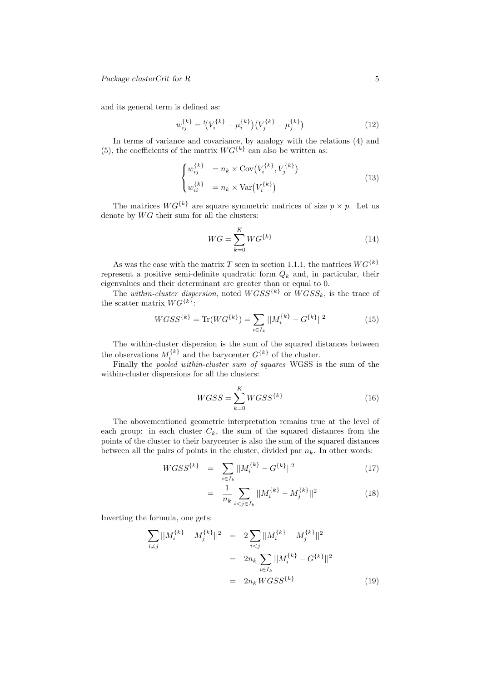and its general term is defined as:

$$
w_{ij}^{\{k\}} = {}^{t}\left(V_i^{\{k\}} - \mu_i^{\{k\}}\right)\left(V_j^{\{k\}} - \mu_j^{\{k\}}\right) \tag{12}
$$

In terms of variance and covariance, by analogy with the relations (4) and (5), the coefficients of the matrix  $WG^{\{k\}}$  can also be written as:

$$
\begin{cases}\nw_{ij}^{\{k\}} &= n_k \times \text{Cov}(V_i^{\{k\}}, V_j^{\{k\}}) \\
w_{ii}^{\{k\}} &= n_k \times \text{Var}(V_i^{\{k\}})\n\end{cases} \tag{13}
$$

The matrices  $WG^{\{k\}}$  are square symmetric matrices of size  $p \times p$ . Let us denote by  $WG$  their sum for all the clusters:

$$
WG = \sum_{k=0}^{K} WG^{\{k\}} \tag{14}
$$

As was the case with the matrix T seen in section 1.1.1, the matrices  $WG^{\{k\}}$ represent a positive semi-definite quadratic form  $Q_k$  and, in particular, their eigenvalues and their determinant are greater than or equal to 0.

The within-cluster dispersion, noted  $W G S S^{k}$  or  $W G S S_{k}$ , is the trace of the scatter matrix  $WG^{\{k\}}$ :

$$
WGSS^{\{k\}} = \text{Tr}(WG^{\{k\}}) = \sum_{i \in I_k} ||M_i^{\{k\}} - G^{\{k\}}||^2 \tag{15}
$$

The within-cluster dispersion is the sum of the squared distances between the observations  $M_i^{\{k\}}$  and the barycenter  $G^{\{k\}}$  of the cluster.

Finally the pooled within-cluster sum of squares WGSS is the sum of the within-cluster dispersions for all the clusters:

$$
WGSS = \sum_{k=0}^{K} WGSS^{\{k\}}\tag{16}
$$

The abovementioned geometric interpretation remains true at the level of each group: in each cluster  $C_k$ , the sum of the squared distances from the points of the cluster to their barycenter is also the sum of the squared distances between all the pairs of points in the cluster, divided par  $n_k$ . In other words:

$$
WGSS^{\{k\}} = \sum_{i \in I_k} ||M_i^{\{k\}} - G^{\{k\}}||^2 \tag{17}
$$

$$
= \frac{1}{n_k} \sum_{i < j \in I_k} ||M_i^{\{k\}} - M_j^{\{k\}}||^2 \tag{18}
$$

Inverting the formula, one gets:

$$
\sum_{i \neq j} ||M_i^{\{k\}} - M_j^{\{k\}}||^2 = 2 \sum_{i < j} ||M_i^{\{k\}} - M_j^{\{k\}}||^2
$$
\n
$$
= 2n_k \sum_{i \in I_k} ||M_i^{\{k\}} - G^{\{k\}}||^2
$$
\n
$$
= 2n_k W G S S^{\{k\}} \tag{19}
$$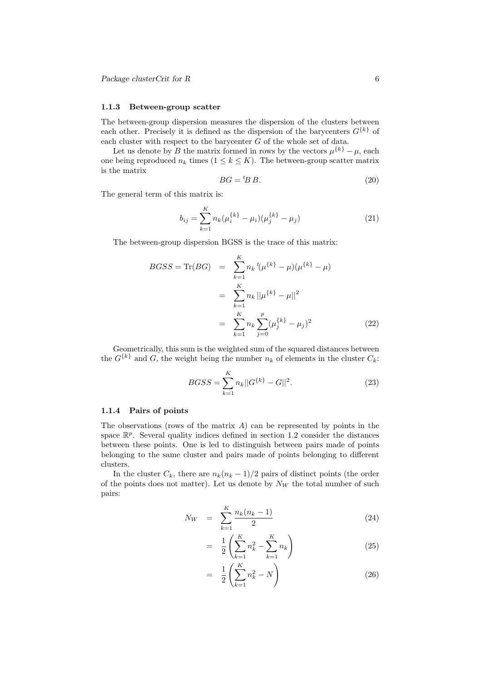#### 1.1.3 Between-group scatter

The between-group dispersion measures the dispersion of the clusters between each other. Precisely it is defined as the dispersion of the barycenters  $G^{\{k\}}$  of each cluster with respect to the barycenter G of the whole set of data.

Let us denote by B the matrix formed in rows by the vectors  $\mu^{\{k\}} - \mu$ , each one being reproduced  $n_k$  times  $(1 \leq k \leq K)$ . The between-group scatter matrix is the matrix

$$
BG = {}^{t}BB. \tag{20}
$$

The general term of this matrix is:

$$
b_{ij} = \sum_{k=1}^{K} n_k (\mu_i^{\{k\}} - \mu_i)(\mu_j^{\{k\}} - \mu_j)
$$
 (21)

The between-group dispersion BGSS is the trace of this matrix:

$$
BGSS = \text{Tr}(BG) = \sum_{k=1}^{K} n_k t(\mu^{\{k\}} - \mu)(\mu^{\{k\}} - \mu)
$$
  
= 
$$
\sum_{k=1}^{K} n_k ||\mu^{\{k\}} - \mu||^2
$$
  
= 
$$
\sum_{k=1}^{K} n_k \sum_{j=0}^{p} (\mu_j^{\{k\}} - \mu_j)^2
$$
 (22)

Geometrically, this sum is the weighted sum of the squared distances between the  $G^{\{k\}}$  and G, the weight being the number  $n_k$  of elements in the cluster  $C_k$ :

$$
BGSS = \sum_{k=1}^{K} n_k ||G^{\{k\}} - G||^2.
$$
 (23)

# 1.1.4 Pairs of points

The observations (rows of the matrix  $A$ ) can be represented by points in the space  $\mathbb{R}^p$ . Several quality indices defined in section 1.2 consider the distances between these points. One is led to distinguish between pairs made of points belonging to the same cluster and pairs made of points belonging to different clusters.

In the cluster  $C_k$ , there are  $n_k(n_k-1)/2$  pairs of distinct points (the order of the points does not matter). Let us denote by  $N_W$  the total number of such pairs:

$$
N_W = \sum_{k=1}^{K} \frac{n_k(n_k - 1)}{2} \tag{24}
$$

$$
= \frac{1}{2} \left( \sum_{k=1}^{K} n_k^2 - \sum_{k=1}^{K} n_k \right) \tag{25}
$$

$$
= \frac{1}{2} \left( \sum_{k=1}^{K} n_k^2 - N \right) \tag{26}
$$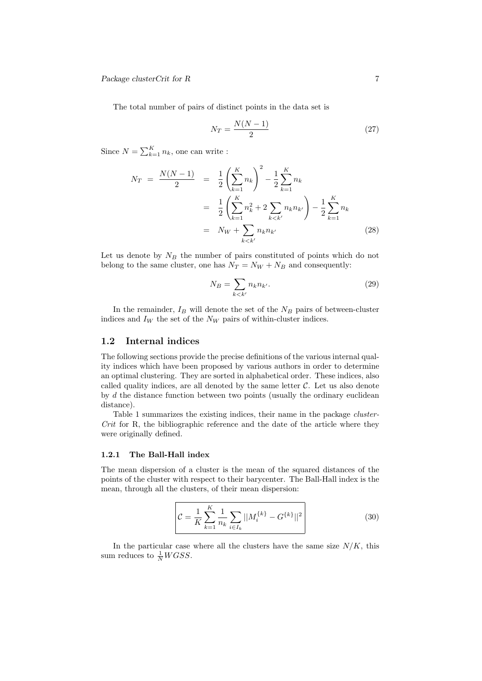The total number of pairs of distinct points in the data set is

$$
N_T = \frac{N(N-1)}{2} \tag{27}
$$

Since  $N = \sum_{k=1}^{K} n_k$ , one can write :

$$
N_T = \frac{N(N-1)}{2} = \frac{1}{2} \left( \sum_{k=1}^K n_k \right)^2 - \frac{1}{2} \sum_{k=1}^K n_k
$$
  
= 
$$
\frac{1}{2} \left( \sum_{k=1}^K n_k^2 + 2 \sum_{k < k'} n_k n_{k'} \right) - \frac{1}{2} \sum_{k=1}^K n_k
$$
  
= 
$$
N_W + \sum_{k < k'} n_k n_{k'}
$$
 (28)

Let us denote by  $N_B$  the number of pairs constituted of points which do not belong to the same cluster, one has  $N_T = N_W + N_B$  and consequently:

$$
N_B = \sum_{k < k'} n_k n_{k'}.\tag{29}
$$

In the remainder,  $I_B$  will denote the set of the  $N_B$  pairs of between-cluster indices and  $I_W$  the set of the  $N_W$  pairs of within-cluster indices.

# 1.2 Internal indices

The following sections provide the precise definitions of the various internal quality indices which have been proposed by various authors in order to determine an optimal clustering. They are sorted in alphabetical order. These indices, also called quality indices, are all denoted by the same letter  $\mathcal{C}$ . Let us also denote by d the distance function between two points (usually the ordinary euclidean distance).

Table 1 summarizes the existing indices, their name in the package cluster-Crit for R, the bibliographic reference and the date of the article where they were originally defined.

# 1.2.1 The Ball-Hall index

The mean dispersion of a cluster is the mean of the squared distances of the points of the cluster with respect to their barycenter. The Ball-Hall index is the mean, through all the clusters, of their mean dispersion:

$$
\mathcal{C} = \frac{1}{K} \sum_{k=1}^{K} \frac{1}{n_k} \sum_{i \in I_k} ||M_i^{\{k\}} - G^{\{k\}}||^2
$$
\n(30)

In the particular case where all the clusters have the same size  $N/K$ , this sum reduces to  $\frac{1}{N}WGSS$ .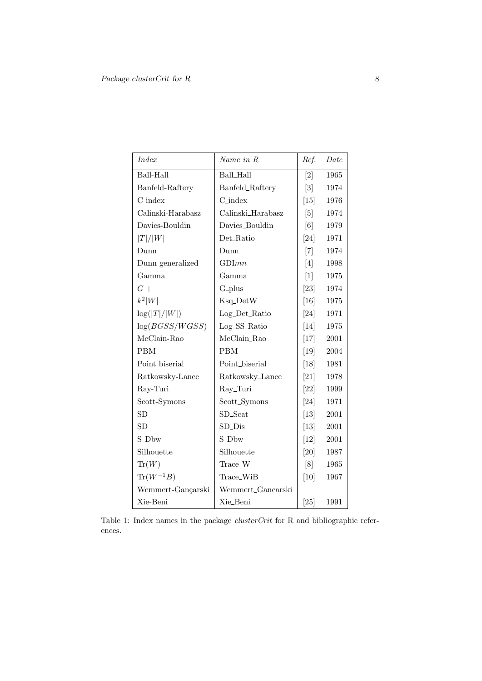| <b>Index</b>         | Name in R         | Ref.              | Date |
|----------------------|-------------------|-------------------|------|
| Ball-Hall            | <b>Ball_Hall</b>  | $\left[2\right]$  | 1965 |
| Banfeld-Raftery      | Banfeld_Raftery   | $\left[3\right]$  | 1974 |
| $C$ index            | $C_$ index        | [15]              | 1976 |
| Calinski-Harabasz    | Calinski_Harabasz | [5]               | 1974 |
| Davies-Bouldin       | Davies_Bouldin    | $\lceil 6 \rceil$ | 1979 |
| T / W                | Det_Ratio         | [24]              | 1971 |
| Dunn                 | Dunn              | $[7]$             | 1974 |
| Dunn generalized     | GDInn             | [4]               | 1998 |
| Gamma                | Gamma             | $[1]$             | 1975 |
| $G +$                | G_plus            | $[23]$            | 1974 |
| $k^2 W $             | Ksq_DetW          | [16]              | 1975 |
| $\log( T / W )$      | Log_Det_Ratio     | [24]              | 1971 |
| log(BGSS/WGSS)       | Log_SS_Ratio      | [14]              | 1975 |
| McClain-Rao          | McClain_Rao       | $[17]$            | 2001 |
| <b>PBM</b>           | <b>PBM</b>        | [19]              | 2004 |
| Point biserial       | Point_biserial    | [18]              | 1981 |
| Ratkowsky-Lance      | Ratkowsky_Lance   | [21]              | 1978 |
| Ray-Turi             | Ray_Turi          | $[22]$            | 1999 |
| Scott-Symons         | Scott_Symons      | $[24]$            | 1971 |
| <b>SD</b>            | $SD\_Scat$        | $\left[13\right]$ | 2001 |
| <b>SD</b>            | $SD\_Dis$         | $[13]$            | 2001 |
| S_Dbw                | S_Dbw             | [12]              | 2001 |
| Silhouette           | Silhouette        | [20]              | 1987 |
| $\text{Tr}(W)$       | Trace_W           | [8]               | 1965 |
| $\text{Tr}(W^{-1}B)$ | Trace_WiB         | [10]              | 1967 |
| Wemmert-Gançarski    | Wemmert_Gancarski |                   |      |
| Xie-Beni             | Xie_Beni          | $[25]$            | 1991 |

Table 1: Index names in the package *clusterCrit* for R and bibliographic references.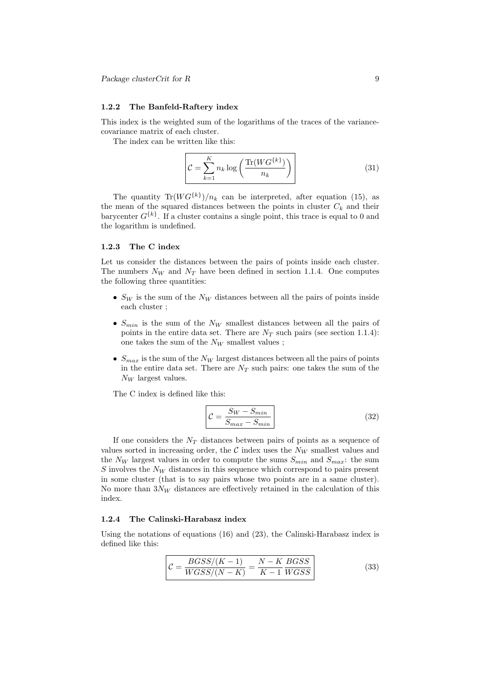#### 1.2.2 The Banfeld-Raftery index

This index is the weighted sum of the logarithms of the traces of the variancecovariance matrix of each cluster.

The index can be written like this:

$$
\mathcal{C} = \sum_{k=1}^{K} n_k \log \left( \frac{\text{Tr}(W G^{\{k\}})}{n_k} \right) \tag{31}
$$

The quantity  $\text{Tr}(WG^{\{k\}})/n_k$  can be interpreted, after equation (15), as the mean of the squared distances between the points in cluster  $C_k$  and their barycenter  $G^{\{k\}}$ . If a cluster contains a single point, this trace is equal to 0 and the logarithm is undefined.

#### 1.2.3 The C index

Let us consider the distances between the pairs of points inside each cluster. The numbers  $N_W$  and  $N_T$  have been defined in section 1.1.4. One computes the following three quantities:

- $S_W$  is the sum of the  $N_W$  distances between all the pairs of points inside each cluster ;
- $S_{min}$  is the sum of the  $N_W$  smallest distances between all the pairs of points in the entire data set. There are  $N_T$  such pairs (see section 1.1.4): one takes the sum of the  $N_W$  smallest values;
- $S_{max}$  is the sum of the  $N_W$  largest distances between all the pairs of points in the entire data set. There are  $N_T$  such pairs: one takes the sum of the  $N_W$  largest values.

The C index is defined like this:

$$
\mathcal{C} = \frac{S_W - S_{min}}{S_{max} - S_{min}} \tag{32}
$$

If one considers the  $N_T$  distances between pairs of points as a sequence of values sorted in increasing order, the  $\mathcal C$  index uses the  $N_W$  smallest values and the  $N_W$  largest values in order to compute the sums  $S_{min}$  and  $S_{max}$ : the sum S involves the  $N_W$  distances in this sequence which correspond to pairs present in some cluster (that is to say pairs whose two points are in a same cluster). No more than  $3N_W$  distances are effectively retained in the calculation of this index.

#### 1.2.4 The Calinski-Harabasz index

Using the notations of equations (16) and (23), the Calinski-Harabasz index is defined like this:

$$
\mathcal{C} = \frac{BGSS/(K-1)}{WGSS/(N-K)} = \frac{N-K}{K-1} \frac{BGSS}{WGSS}
$$
\n(33)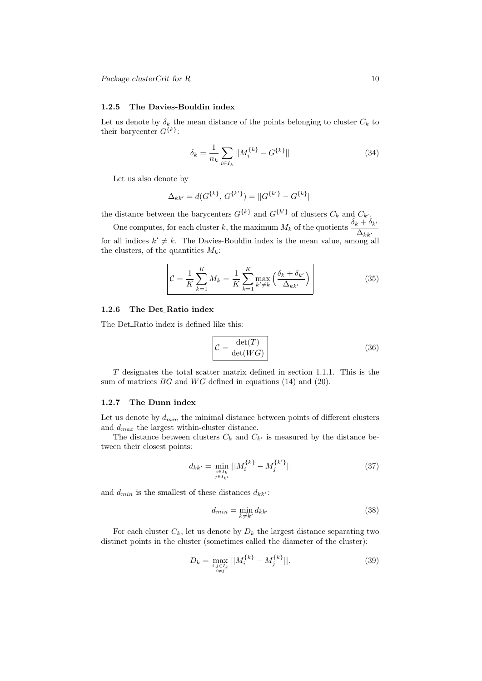#### 1.2.5 The Davies-Bouldin index

Let us denote by  $\delta_k$  the mean distance of the points belonging to cluster  $C_k$  to their barycenter  $G^{\{k\}}$ :

$$
\delta_k = \frac{1}{n_k} \sum_{i \in I_k} ||M_i^{\{k\}} - G^{\{k\}}|| \tag{34}
$$

Let us also denote by

$$
\Delta_{kk'} = d(G^{\{k\}}, G^{\{k'\}}) = ||G^{\{k'\}} - G^{\{k\}}||
$$

the distance between the barycenters  $G^{\{k\}}$  and  $G^{\{k'\}}$  of clusters  $C_k$  and  $C_{k'}$ .

One computes, for each cluster k, the maximum  $M_k$  of the quotients  $\frac{\delta_k + \delta_{k'}}{\Delta_{kk'}}$ for all indices  $k' \neq k$ . The Davies-Bouldin index is the mean value, among all the clusters, of the quantities  $M_k$ :

$$
\mathcal{C} = \frac{1}{K} \sum_{k=1}^{K} M_k = \frac{1}{K} \sum_{k=1}^{K} \max_{k' \neq k} \left( \frac{\delta_k + \delta_{k'}}{\Delta_{kk'}} \right)
$$
(35)

## 1.2.6 The Det\_Ratio index

The Det\_Ratio index is defined like this:

$$
\mathcal{C} = \frac{\det(T)}{\det(WG)}\tag{36}
$$

T designates the total scatter matrix defined in section 1.1.1. This is the sum of matrices  $BG$  and  $WG$  defined in equations (14) and (20).

#### 1.2.7 The Dunn index

Let us denote by  $d_{min}$  the minimal distance between points of different clusters and  $d_{max}$  the largest within-cluster distance.

The distance between clusters  $C_k$  and  $C_{k'}$  is measured by the distance between their closest points:

$$
d_{kk'} = \min_{\substack{i \in I_k \\ j \in I_{k'}}} ||M_i^{\{k\}} - M_j^{\{k'\}}|| \tag{37}
$$

and  $d_{min}$  is the smallest of these distances  $d_{kk'}$ :

$$
d_{min} = \min_{k \neq k'} d_{kk'} \tag{38}
$$

For each cluster  $C_k$ , let us denote by  $D_k$  the largest distance separating two distinct points in the cluster (sometimes called the diameter of the cluster):

$$
D_k = \max_{\substack{i,j \in I_k \\ i \neq j}} ||M_i^{\{k\}} - M_j^{\{k\}}||. \tag{39}
$$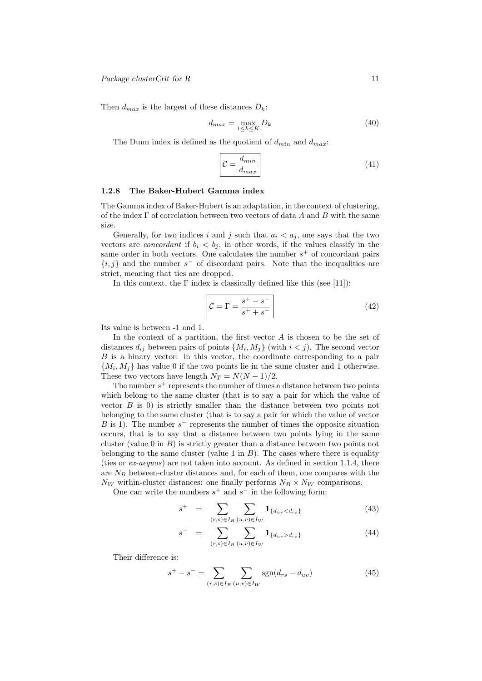Then  $d_{max}$  is the largest of these distances  $D_k$ :

$$
d_{max} = \max_{1 \le k \le K} D_k \tag{40}
$$

The Dunn index is defined as the quotient of  $d_{min}$  and  $d_{max}$ :

$$
\mathcal{C} = \frac{d_{min}}{d_{max}}\tag{41}
$$

## 1.2.8 The Baker-Hubert Gamma index

The Gamma index of Baker-Hubert is an adaptation, in the context of clustering, of the index  $\Gamma$  of correlation between two vectors of data A and B with the same size.

Generally, for two indices i and j such that  $a_i < a_j$ , one says that the two vectors are *concordant* if  $b_i < b_j$ , in other words, if the values classify in the same order in both vectors. One calculates the number  $s^+$  of concordant pairs  $\{i, j\}$  and the number s<sup>-</sup> of discordant pairs. Note that the inequalities are strict, meaning that ties are dropped.

In this context, the  $\Gamma$  index is classically defined like this (see [11]):

$$
\mathcal{C} = \Gamma = \frac{s^+ - s^-}{s^+ + s^-}
$$
\n(42)

Its value is between -1 and 1.

In the context of a partition, the first vector  $A$  is chosen to be the set of distances  $d_{ij}$  between pairs of points  $\{M_i, M_j\}$  (with  $i < j$ ). The second vector B is a binary vector: in this vector, the coordinate corresponding to a pair  ${M_i, M_j}$  has value 0 if the two points lie in the same cluster and 1 otherwise. These two vectors have length  $N_T = N(N-1)/2$ .

The number  $s^+$  represents the number of times a distance between two points which belong to the same cluster (that is to say a pair for which the value of vector  $B$  is 0) is strictly smaller than the distance between two points not belonging to the same cluster (that is to say a pair for which the value of vector B is 1). The number  $s^-$  represents the number of times the opposite situation occurs, that is to say that a distance between two points lying in the same cluster (value  $0$  in  $B$ ) is strictly greater than a distance between two points not belonging to the same cluster (value 1 in  $B$ ). The cases where there is equality (ties or ex-aequos) are not taken into account. As defined in section 1.1.4, there are  $N_B$  between-cluster distances and, for each of them, one compares with the  $N_W$  within-cluster distances: one finally performs  $N_B \times N_W$  comparisons.

One can write the numbers  $s^+$  and  $s^-$  in the following form:

$$
s^{+} = \sum_{(r,s)\in I_{B}} \sum_{(u,v)\in I_{W}} \mathbf{1}_{\{d_{uv} < d_{rs}\}} \tag{43}
$$

$$
s^{-} = \sum_{(r,s)\in I_B} \sum_{(u,v)\in I_W} \mathbf{1}_{\{d_{uv} > d_{rs}\}} \tag{44}
$$

Their difference is:

$$
s^{+} - s^{-} = \sum_{(r,s)\in I_B} \sum_{(u,v)\in I_W} \text{sgn}(d_{rs} - d_{uv})
$$
\n(45)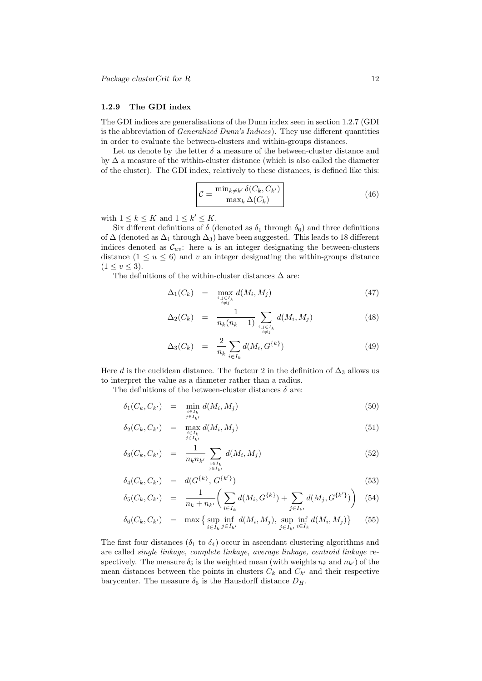#### 1.2.9 The GDI index

The GDI indices are generalisations of the Dunn index seen in section 1.2.7 (GDI is the abbreviation of Generalized Dunn's Indices). They use different quantities in order to evaluate the between-clusters and within-groups distances.

Let us denote by the letter  $\delta$  a measure of the between-cluster distance and by  $\Delta$  a measure of the within-cluster distance (which is also called the diameter of the cluster). The GDI index, relatively to these distances, is defined like this:

$$
\mathcal{C} = \frac{\min_{k \neq k'} \delta(C_k, C_{k'})}{\max_k \Delta(C_k)}
$$
(46)

with  $1 \leq k \leq K$  and  $1 \leq k' \leq K$ .

Six different definitions of  $\delta$  (denoted as  $\delta_1$  through  $\delta_6$ ) and three definitions of  $\Delta$  (denoted as  $\Delta_1$  through  $\Delta_3$ ) have been suggested. This leads to 18 different indices denoted as  $\mathcal{C}_{uv}$ : here u is an integer designating the between-clusters distance  $(1 \le u \le 6)$  and v an integer designating the within-groups distance  $(1 \le v \le 3).$ 

The definitions of the within-cluster distances  $\Delta$  are:

$$
\Delta_1(C_k) = \max_{\substack{i,j \in I_k \\ i \neq j}} d(M_i, M_j) \tag{47}
$$

$$
\Delta_2(C_k) = \frac{1}{n_k(n_k - 1)} \sum_{\substack{i,j \in I_k \\ i \neq j}} d(M_i, M_j)
$$
\n(48)

$$
\Delta_3(C_k) = \frac{2}{n_k} \sum_{i \in I_k} d(M_i, G^{\{k\}})
$$
\n(49)

Here d is the euclidean distance. The facteur 2 in the definition of  $\Delta_3$  allows us to interpret the value as a diameter rather than a radius.

The definitions of the between-cluster distances  $\delta$  are:

$$
\delta_1(C_k, C_{k'}) = \min_{\substack{i \in I_k \\ j \in I_{k'}}} d(M_i, M_j)
$$
\n(50)

$$
\delta_2(C_k, C_{k'}) = \max_{\substack{i \in I_k \\ j \in I_{k'}}} d(M_i, M_j) \tag{51}
$$

$$
\delta_3(C_k, C_{k'}) = \frac{1}{n_k n_{k'}} \sum_{\substack{i \in I_k \\ j \in I_{k'}}} d(M_i, M_j) \tag{52}
$$

$$
\delta_4(C_k, C_{k'}) = d(G^{\{k\}}, G^{\{k'\}})
$$
\n(53)

$$
\delta_5(C_k, C_{k'}) = \frac{1}{n_k + n_{k'}} \left( \sum_{i \in I_k} d(M_i, G^{\{k\}}) + \sum_{j \in I_{k'}} d(M_j, G^{\{k'\}}) \right) (54)
$$

$$
\delta_6(C_k, C_{k'}) = \max \left\{ \sup_{i \in I_k} \inf_{j \in I_{k'}} d(M_i, M_j), \sup_{j \in I_{k'}} \inf_{i \in I_k} d(M_i, M_j) \right\} \tag{55}
$$

The first four distances  $(\delta_1$  to  $\delta_4)$  occur in ascendant clustering algorithms and are called single linkage, complete linkage, average linkage, centroid linkage respectively. The measure  $\delta_5$  is the weighted mean (with weights  $n_k$  and  $n_{k'}$ ) of the mean distances between the points in clusters  $C_k$  and  $C_{k'}$  and their respective barycenter. The measure  $\delta_6$  is the Hausdorff distance  $D_H$ .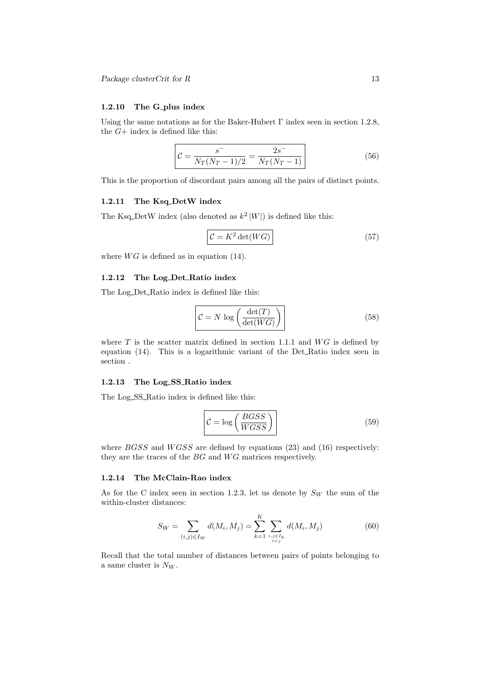#### 1.2.10 The G\_plus index

Using the same notations as for the Baker-Hubert Γ index seen in section 1.2.8, the  $G+$  index is defined like this:

$$
\mathcal{C} = \frac{s^-}{N_T (N_T - 1)/2} = \frac{2s^-}{N_T (N_T - 1)}\tag{56}
$$

This is the proportion of discordant pairs among all the pairs of distinct points.

#### 1.2.11 The Ksq\_DetW index

The Ksq\_DetW index (also denoted as  $k^2|W|$ ) is defined like this:

$$
\mathcal{C} = K^2 \det(WG) \tag{57}
$$

where  $WG$  is defined as in equation (14).

#### 1.2.12 The Log Det Ratio index

The Log\_Det\_Ratio index is defined like this:

$$
\mathcal{C} = N \log \left( \frac{\det(T)}{\det(WG)} \right)
$$
\n(58)

where  $T$  is the scatter matrix defined in section 1.1.1 and  $WG$  is defined by equation (14). This is a logarithmic variant of the Det Ratio index seen in section .

#### 1.2.13 The Log SS Ratio index

The Log\_SS\_Ratio index is defined like this:

$$
\mathcal{C} = \log\left(\frac{BGSS}{WGSS}\right) \tag{59}
$$

where  $BGSS$  and  $WGSS$  are defined by equations (23) and (16) respectively: they are the traces of the  $BG$  and  $WG$  matrices respectively.

# 1.2.14 The McClain-Rao index

As for the C index seen in section 1.2.3, let us denote by  $S_W$  the sum of the within-cluster distances:

$$
S_W = \sum_{(i,j)\in I_W} d(M_i, M_j) = \sum_{k=1}^K \sum_{\substack{i,j\in I_k \\ i < j}} d(M_i, M_j) \tag{60}
$$

Recall that the total number of distances between pairs of points belonging to a same cluster is  $N_W$ .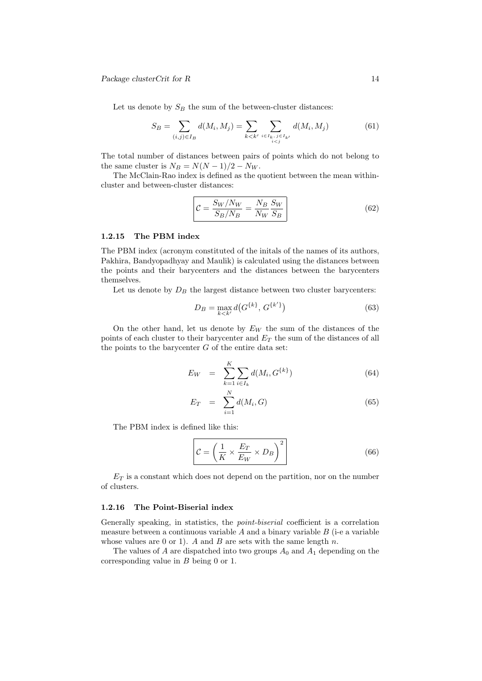Let us denote by  $S_B$  the sum of the between-cluster distances:

$$
S_B = \sum_{(i,j)\in I_B} d(M_i, M_j) = \sum_{k < k'} \sum_{\substack{i \in I_k, \, j \in I_{k'} \\ i < j}} d(M_i, M_j) \tag{61}
$$

The total number of distances between pairs of points which do not belong to the same cluster is  $N_B = N(N-1)/2 - N_W$ .

The McClain-Rao index is defined as the quotient between the mean withincluster and between-cluster distances:

$$
\mathcal{C} = \frac{S_W / N_W}{S_B / N_B} = \frac{N_B}{N_W} \frac{S_W}{S_B} \tag{62}
$$

# 1.2.15 The PBM index

The PBM index (acronym constituted of the initals of the names of its authors, Pakhira, Bandyopadhyay and Maulik) is calculated using the distances between the points and their barycenters and the distances between the barycenters themselves.

Let us denote by  $D_B$  the largest distance between two cluster barycenters:

$$
D_B = \max_{k < k'} d(G^{\{k\}}, G^{\{k'\}}) \tag{63}
$$

On the other hand, let us denote by  $E_W$  the sum of the distances of the points of each cluster to their barycenter and  $E<sub>T</sub>$  the sum of the distances of all the points to the barycenter  $G$  of the entire data set:

$$
E_W = \sum_{k=1}^{K} \sum_{i \in I_k} d(M_i, G^{\{k\}})
$$
\n(64)

$$
E_T = \sum_{i=1}^{N} d(M_i, G) \tag{65}
$$

The PBM index is defined like this:

$$
\mathcal{C} = \left(\frac{1}{K} \times \frac{E_T}{E_W} \times D_B\right)^2\tag{66}
$$

 $E_T$  is a constant which does not depend on the partition, nor on the number of clusters.

#### 1.2.16 The Point-Biserial index

Generally speaking, in statistics, the point-biserial coefficient is a correlation measure between a continuous variable  $A$  and a binary variable  $B$  (i-e a variable whose values are 0 or 1). A and B are sets with the same length  $n$ .

The values of A are dispatched into two groups  $A_0$  and  $A_1$  depending on the corresponding value in B being 0 or 1.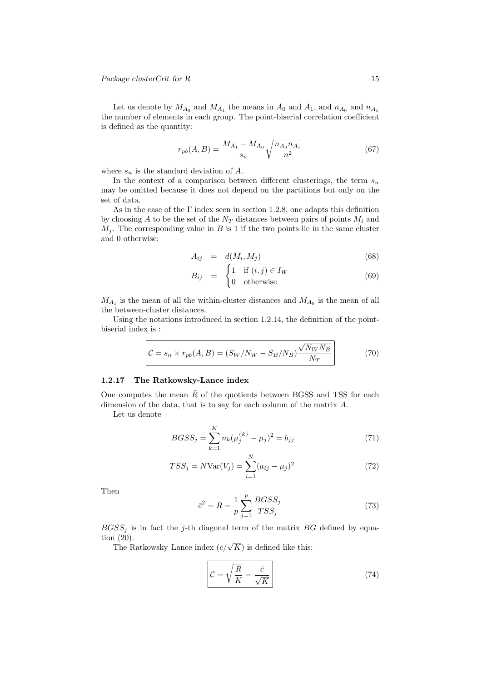Let us denote by  $M_{A_0}$  and  $M_{A_1}$  the means in  $A_0$  and  $A_1$ , and  $n_{A_0}$  and  $n_{A_1}$ the number of elements in each group. The point-biserial correlation coefficient is defined as the quantity:

$$
r_{pb}(A,B) = \frac{M_{A_1} - M_{A_0}}{s_n} \sqrt{\frac{n_{A_0} n_{A_1}}{n^2}} \tag{67}
$$

where  $s_n$  is the standard deviation of A.

In the context of a comparison between different clusterings, the term  $s_n$ may be omitted because it does not depend on the partitions but only on the set of data.

As in the case of the  $\Gamma$  index seen in section 1.2.8, one adapts this definition by choosing A to be the set of the  $N_T$  distances between pairs of points  $M_i$  and  $M_j$ . The corresponding value in B is 1 if the two points lie in the same cluster and 0 otherwise:

$$
A_{ij} = d(M_i, M_j) \tag{68}
$$

$$
B_{ij} = \begin{cases} 1 & \text{if } (i,j) \in I_W \\ 0 & \text{otherwise} \end{cases}
$$
 (69)

 $M_{A_1}$  is the mean of all the within-cluster distances and  $M_{A_0}$  is the mean of all the between-cluster distances.

Using the notations introduced in section 1.2.14, the definition of the pointbiserial index is :

$$
\mathcal{C} = s_n \times r_{pb}(A, B) = (S_W/N_W - S_B/N_B) \frac{\sqrt{N_W N_B}}{N_T}
$$
(70)

#### 1.2.17 The Ratkowsky-Lance index

One computes the mean  $\bar{R}$  of the quotients between BGSS and TSS for each dimension of the data, that is to say for each column of the matrix A.

Let us denote

$$
BGSS_j = \sum_{k=1}^{K} n_k (\mu_j^{\{k\}} - \mu_j)^2 = b_{jj}
$$
 (71)

$$
TSS_j = NVar(V_j) = \sum_{i=1}^{N} (a_{ij} - \mu_j)^2
$$
\n(72)

Then

$$
\bar{c}^2 = \bar{R} = \frac{1}{p} \sum_{j=1}^p \frac{BGSS_j}{TSS_j} \tag{73}
$$

 $BGSS<sub>i</sub>$  is in fact the j-th diagonal term of the matrix BG defined by equation (20).

1 (20).<br>The Ratkowsky\_Lance index ( $\bar{c}/\sqrt{K}$ ) is defined like this:

$$
\mathcal{C} = \sqrt{\frac{\bar{R}}{K}} = \frac{\bar{c}}{\sqrt{K}}
$$
\n(74)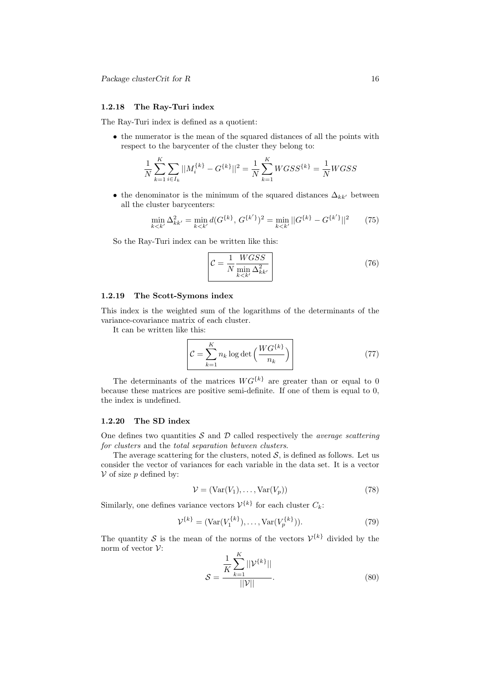# 1.2.18 The Ray-Turi index

The Ray-Turi index is defined as a quotient:

• the numerator is the mean of the squared distances of all the points with respect to the barycenter of the cluster they belong to:

$$
\frac{1}{N} \sum_{k=1}^{K} \sum_{i \in I_k} ||M_i^{\{k\}} - G^{\{k\}}||^2 = \frac{1}{N} \sum_{k=1}^{K} W G S S^{\{k\}} = \frac{1}{N} W G S S
$$

• the denominator is the minimum of the squared distances  $\Delta_{kk'}$  between all the cluster barycenters:

$$
\min_{k < k'} \Delta_{kk'}^2 = \min_{k < k'} d(G^{\{k\}}, G^{\{k'\}})^2 = \min_{k < k'} ||G^{\{k\}} - G^{\{k'\}}||^2 \tag{75}
$$

So the Ray-Turi index can be written like this:

$$
\mathcal{C} = \frac{1}{N} \frac{WGSS}{\min_{k < k'} \Delta_{kk'}^2} \tag{76}
$$

## 1.2.19 The Scott-Symons index

This index is the weighted sum of the logarithms of the determinants of the variance-covariance matrix of each cluster.

It can be written like this:

$$
\mathcal{C} = \sum_{k=1}^{K} n_k \log \det \left( \frac{W G^{\{k\}}}{n_k} \right)
$$
\n(77)

The determinants of the matrices  $WG^{\{k\}}$  are greater than or equal to 0 because these matrices are positive semi-definite. If one of them is equal to 0, the index is undefined.

#### 1.2.20 The SD index

One defines two quantities  $\mathcal S$  and  $\mathcal D$  called respectively the *average scattering* for clusters and the total separation between clusters.

The average scattering for the clusters, noted  $S$ , is defined as follows. Let us consider the vector of variances for each variable in the data set. It is a vector  $V$  of size p defined by:

$$
\mathcal{V} = (\text{Var}(V_1), \dots, \text{Var}(V_p))
$$
\n(78)

Similarly, one defines variance vectors  $\mathcal{V}^{\{k\}}$  for each cluster  $C_k$ :

$$
\mathcal{V}^{\{k\}} = (\text{Var}(V_1^{\{k\}}), \dots, \text{Var}(V_p^{\{k\}})).
$$
\n(79)

The quantity S is the mean of the norms of the vectors  $\mathcal{V}^{\{k\}}$  divided by the norm of vector  $\mathcal{V}$ :

$$
S = \frac{\frac{1}{K} \sum_{k=1}^{K} ||\mathcal{V}^{\{k\}}||}{||\mathcal{V}||}.
$$
 (80)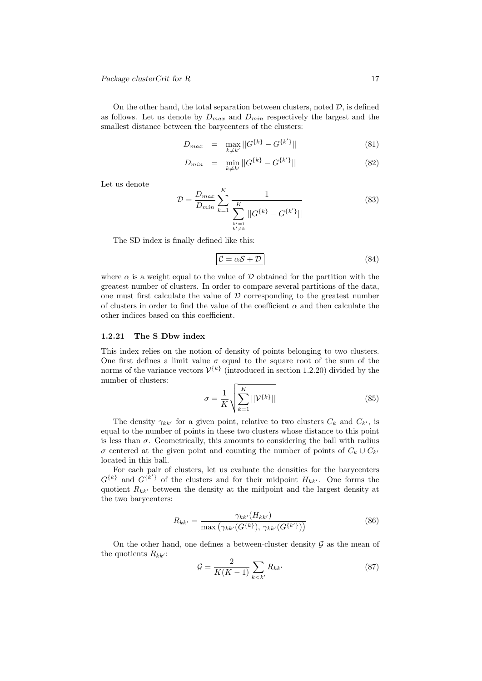On the other hand, the total separation between clusters, noted  $D$ , is defined as follows. Let us denote by  $D_{max}$  and  $D_{min}$  respectively the largest and the smallest distance between the barycenters of the clusters:

$$
D_{max} = \max_{k \neq k'} ||G^{\{k\}} - G^{\{k'\}}|| \tag{81}
$$

$$
D_{min} = \min_{k \neq k'} ||G^{\{k\}} - G^{\{k'\}}|| \tag{82}
$$

Let us denote

$$
\mathcal{D} = \frac{D_{max}}{D_{min}} \sum_{k=1}^{K} \frac{1}{\sum_{\substack{k'=1\\k'\neq k}}^{K} ||G^{\{k\}} - G^{\{k'\}}||}
$$
(83)

The SD index is finally defined like this:

$$
\mathcal{C} = \alpha \mathcal{S} + \mathcal{D} \tag{84}
$$

where  $\alpha$  is a weight equal to the value of D obtained for the partition with the greatest number of clusters. In order to compare several partitions of the data, one must first calculate the value of  $D$  corresponding to the greatest number of clusters in order to find the value of the coefficient  $\alpha$  and then calculate the other indices based on this coefficient.

#### 1.2.21 The S\_Dbw index

This index relies on the notion of density of points belonging to two clusters. One first defines a limit value  $\sigma$  equal to the square root of the sum of the norms of the variance vectors  $\mathcal{V}^{\{k\}}$  (introduced in section 1.2.20) divided by the number of clusters:

$$
\sigma = \frac{1}{K} \sqrt{\sum_{k=1}^{K} ||\mathcal{V}^{\{k\}}||}
$$
\n(85)

The density  $\gamma_{kk'}$  for a given point, relative to two clusters  $C_k$  and  $C_{k'}$ , is equal to the number of points in these two clusters whose distance to this point is less than  $\sigma$ . Geometrically, this amounts to considering the ball with radius σ centered at the given point and counting the number of points of  $C_k \cup C_{k'}$ located in this ball.

For each pair of clusters, let us evaluate the densities for the barycenters  $G^{\{k\}}$  and  $G^{\{k'\}}$  of the clusters and for their midpoint  $H_{kk'}$ . One forms the quotient  $R_{kk'}$  between the density at the midpoint and the largest density at the two barycenters:

$$
R_{kk'} = \frac{\gamma_{kk'}(H_{kk'})}{\max(\gamma_{kk'}(G^{\{k\}}), \gamma_{kk'}(G^{\{k'\}}))}
$$
(86)

On the other hand, one defines a between-cluster density  $\mathcal G$  as the mean of the quotients  $R_{kk'}$ :

$$
\mathcal{G} = \frac{2}{K(K-1)} \sum_{k < k'} R_{kk'} \tag{87}
$$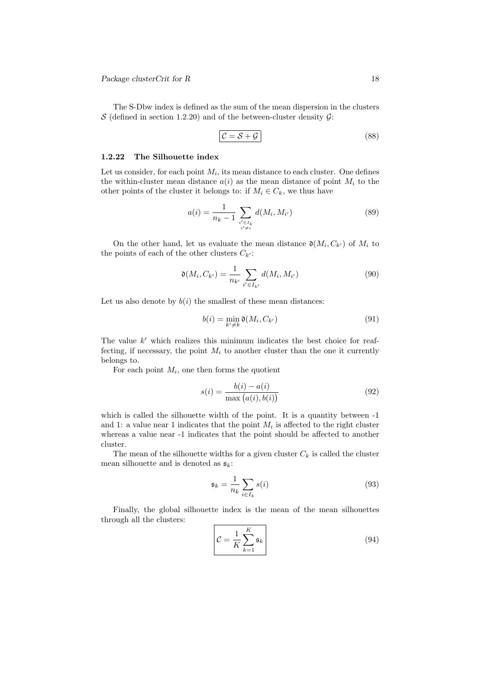The S-Dbw index is defined as the sum of the mean dispersion in the clusters  $S$  (defined in section 1.2.20) and of the between-cluster density  $G$ :

$$
\mathcal{C} = \mathcal{S} + \mathcal{G}
$$
 (88)

## 1.2.22 The Silhouette index

Let us consider, for each point  $M_i$ , its mean distance to each cluster. One defines the within-cluster mean distance  $a(i)$  as the mean distance of point  $M_i$  to the other points of the cluster it belongs to: if  $M_i \in C_k$ , we thus have

$$
a(i) = \frac{1}{n_k - 1} \sum_{\substack{i' \in I_k \\ i' \neq i}} d(M_i, M_{i'})
$$
\n(89)

On the other hand, let us evaluate the mean distance  $\mathfrak{d}(M_i, C_{k'})$  of  $M_i$  to the points of each of the other clusters  $C_{k'}$ :

$$
\mathfrak{d}(M_i, C_{k'}) = \frac{1}{n_{k'}} \sum_{i' \in I_{k'}} d(M_i, M_{i'})
$$
\n(90)

Let us also denote by  $b(i)$  the smallest of these mean distances:

$$
b(i) = \min_{k' \neq k} \mathfrak{d}(M_i, C_{k'})
$$
\n(91)

The value  $k'$  which realizes this minimum indicates the best choice for reaffecting, if necessary, the point  $M_i$  to another cluster than the one it currently belongs to.

For each point  $M_i$ , one then forms the quotient

$$
s(i) = \frac{b(i) - a(i)}{\max(a(i), b(i))}
$$
(92)

which is called the silhouette width of the point. It is a quantity between  $-1$ and 1: a value near 1 indicates that the point  $M_i$  is affected to the right cluster whereas a value near -1 indicates that the point should be affected to another cluster.

The mean of the silhouette widths for a given cluster  $C_k$  is called the cluster mean silhouette and is denoted as  $\mathfrak{s}_k$ :

$$
\mathfrak{s}_k = \frac{1}{n_k} \sum_{i \in I_k} s(i) \tag{93}
$$

Finally, the global silhouette index is the mean of the mean silhouettes through all the clusters:

$$
\mathcal{C} = \frac{1}{K} \sum_{k=1}^{K} \mathfrak{s}_k \tag{94}
$$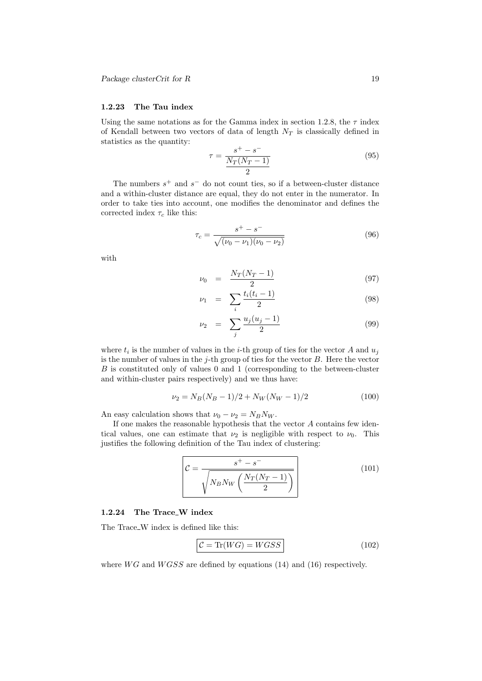# 1.2.23 The Tau index

Using the same notations as for the Gamma index in section 1.2.8, the  $\tau$  index of Kendall between two vectors of data of length  $N_T$  is classically defined in statistics as the quantity:

$$
\tau = \frac{s^+ - s^-}{\frac{N_T(N_T - 1)}{2}}\tag{95}
$$

The numbers  $s^+$  and  $s^-$  do not count ties, so if a between-cluster distance and a within-cluster distance are equal, they do not enter in the numerator. In order to take ties into account, one modifies the denominator and defines the corrected index  $\tau_c$  like this:

$$
\tau_c = \frac{s^+ - s^-}{\sqrt{(\nu_0 - \nu_1)(\nu_0 - \nu_2)}}\tag{96}
$$

with

$$
\nu_0 = \frac{N_T (N_T - 1)}{2} \tag{97}
$$

$$
\nu_1 = \sum_{i} \frac{t_i(t_i - 1)}{2} \tag{98}
$$

$$
\nu_2 = \sum_j \frac{u_j(u_j - 1)}{2} \tag{99}
$$

where  $t_i$  is the number of values in the *i*-th group of ties for the vector A and  $u_j$ is the number of values in the j-th group of ties for the vector  $B$ . Here the vector  $B$  is constituted only of values 0 and 1 (corresponding to the between-cluster and within-cluster pairs respectively) and we thus have:

$$
\nu_2 = N_B (N_B - 1)/2 + N_W (N_W - 1)/2 \tag{100}
$$

An easy calculation shows that  $\nu_0 - \nu_2 = N_B N_W$ .

If one makes the reasonable hypothesis that the vector A contains few identical values, one can estimate that  $\nu_2$  is negligible with respect to  $\nu_0$ . This justifies the following definition of the Tau index of clustering:

$$
\mathcal{C} = \frac{s^+ - s^-}{\sqrt{N_B N_W \left(\frac{N_T (N_T - 1)}{2}\right)}}\tag{101}
$$

# 1.2.24 The Trace W index

The Trace\_W index is defined like this:

$$
C = \text{Tr}(WG) = WGSS \tag{102}
$$

where  $WG$  and  $WGSS$  are defined by equations (14) and (16) respectively.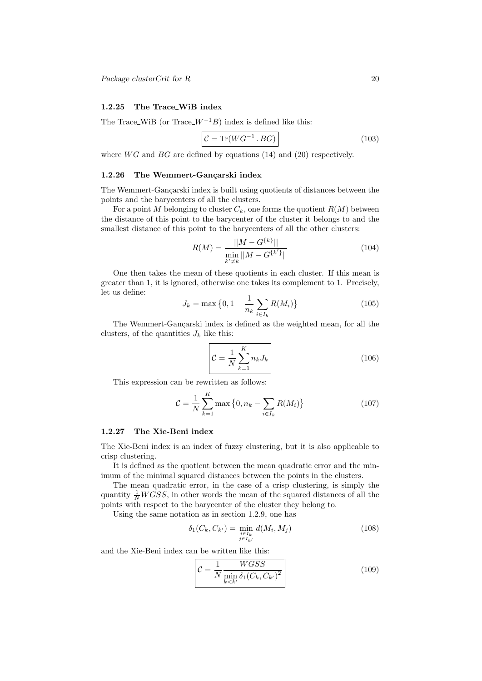# 1.2.25 The Trace WiB index

The Trace\_WiB (or Trace  $W^{-1}B$ ) index is defined like this:

$$
\mathcal{C} = \text{Tr}(WG^{-1} \cdot BG) \tag{103}
$$

where  $WG$  and  $BG$  are defined by equations (14) and (20) respectively.

# 1.2.26 The Wemmert-Gançarski index

The Wemmert-Gançarski index is built using quotients of distances between the points and the barycenters of all the clusters.

For a point M belonging to cluster  $C_k$ , one forms the quotient  $R(M)$  between the distance of this point to the barycenter of the cluster it belongs to and the smallest distance of this point to the barycenters of all the other clusters:

$$
R(M) = \frac{||M - G^{\{k\}}||}{\min_{k' \neq k} ||M - G^{\{k'\}}||}
$$
\n(104)

One then takes the mean of these quotients in each cluster. If this mean is greater than 1, it is ignored, otherwise one takes its complement to 1. Precisely, let us define:

$$
J_k = \max\left\{0, 1 - \frac{1}{n_k} \sum_{i \in I_k} R(M_i)\right\}
$$
 (105)

The Wemmert-Gancarski index is defined as the weighted mean, for all the clusters, of the quantities  $J_k$  like this:

$$
\mathcal{C} = \frac{1}{N} \sum_{k=1}^{K} n_k J_k \tag{106}
$$

This expression can be rewritten as follows:

$$
\mathcal{C} = \frac{1}{N} \sum_{k=1}^{K} \max \left\{ 0, n_k - \sum_{i \in I_k} R(M_i) \right\}
$$
 (107)

#### 1.2.27 The Xie-Beni index

The Xie-Beni index is an index of fuzzy clustering, but it is also applicable to crisp clustering.

It is defined as the quotient between the mean quadratic error and the minimum of the minimal squared distances between the points in the clusters.

The mean quadratic error, in the case of a crisp clustering, is simply the quantity  $\frac{1}{N}WGSS$ , in other words the mean of the squared distances of all the points with respect to the barycenter of the cluster they belong to.

Using the same notation as in section 1.2.9, one has

$$
\delta_1(C_k, C_{k'}) = \min_{\substack{i \in I_k \\ j \in I_{k'}}} d(M_i, M_j)
$$
\n(108)

and the Xie-Beni index can be written like this:

$$
\mathcal{C} = \frac{1}{N} \frac{WGSS}{\min_{k < k'} \delta_1 (C_k, C_{k'})^2} \tag{109}
$$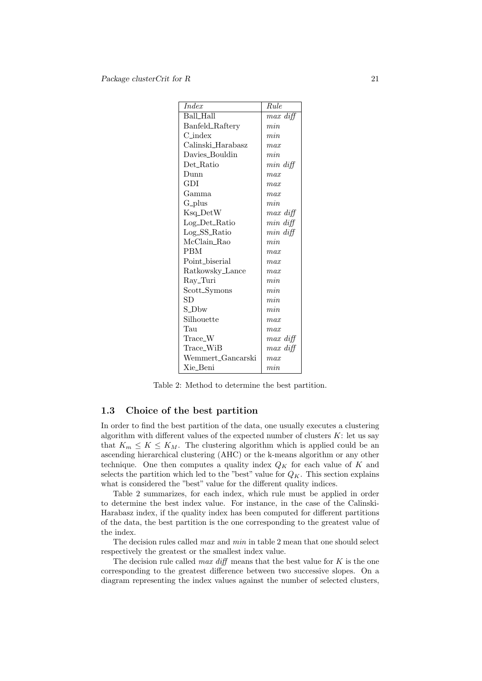| <i>Index</i>        | Rule          |
|---------------------|---------------|
| Ball Hall           | max diff      |
| Banfeld_Raftery     | min           |
| $C_{\text{-index}}$ | min           |
| Calinski_Harabasz   | max           |
| Davies_Bouldin      | min           |
| Det_Ratio           | $min \; diff$ |
| Dunn                | max           |
| GDI                 | max           |
| Gamma               | max           |
| $G- plus$           | min           |
| Ksq_DetW            | max diff      |
| Log_Det_Ratio       | $min \; diff$ |
| Log_SS_Ratio        | $min \; diff$ |
| McClain_Rao         | min           |
| <b>PBM</b>          | max           |
| Point biserial      | max           |
| Ratkowsky_Lance     | max           |
| Ray_Turi            | min           |
| Scott_Symons        | min           |
| SD                  | min           |
| S_Dbw               | min           |
| Silhouette          | max           |
| Tau                 | max           |
| Trace_W             | $max \; diff$ |
| Trace_WiB           | $max \; diff$ |
| Wemmert Gancarski   | max           |
| Xie_Beni            | min           |

Table 2: Method to determine the best partition.

# 1.3 Choice of the best partition

In order to find the best partition of the data, one usually executes a clustering algorithm with different values of the expected number of clusters  $K$ : let us say that  $K_m \leq K \leq K_M$ . The clustering algorithm which is applied could be an ascending hierarchical clustering (AHC) or the k-means algorithm or any other technique. One then computes a quality index  $Q_K$  for each value of K and selects the partition which led to the "best" value for  $Q_K$ . This section explains what is considered the "best" value for the different quality indices.

Table 2 summarizes, for each index, which rule must be applied in order to determine the best index value. For instance, in the case of the Calinski-Harabasz index, if the quality index has been computed for different partitions of the data, the best partition is the one corresponding to the greatest value of the index.

The decision rules called max and min in table 2 mean that one should select respectively the greatest or the smallest index value.

The decision rule called  $max\; diff$  means that the best value for  $K$  is the one corresponding to the greatest difference between two successive slopes. On a diagram representing the index values against the number of selected clusters,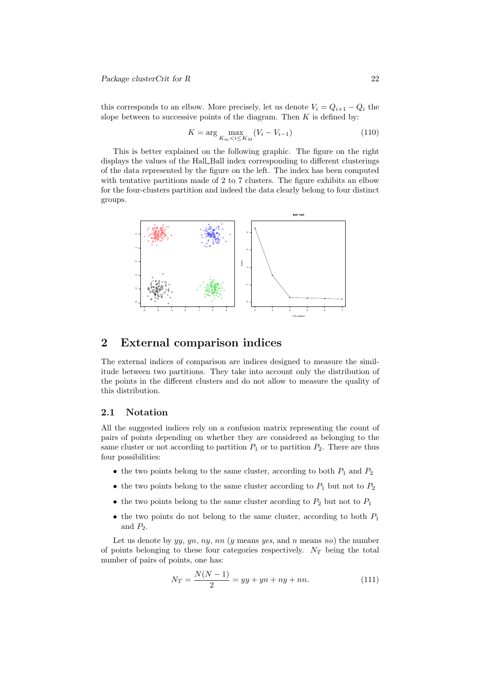Package clusterCrit for R 22

this corresponds to an elbow. More precisely, let us denote  $V_i = Q_{i+1} - Q_i$  the slope between to successive points of the diagram. Then  $K$  is defined by:

$$
K = \arg\max_{K_m < i \le K_M} (V_i - V_{i-1}) \tag{110}
$$

This is better explained on the following graphic. The figure on the right displays the values of the Hall Ball index corresponding to different clusterings of the data represented by the figure on the left. The index has been computed with tentative partitions made of 2 to 7 clusters. The figure exhibits an elbow for the four-clusters partition and indeed the data clearly belong to four distinct groups.



# 2 External comparison indices

The external indices of comparison are indices designed to measure the similitude between two partitions. They take into account only the distribution of the points in the different clusters and do not allow to measure the quality of this distribution.

## 2.1 Notation

All the suggested indices rely on a confusion matrix representing the count of pairs of points depending on whether they are considered as belonging to the same cluster or not according to partition  $P_1$  or to partition  $P_2$ . There are thus four possibilities:

- the two points belong to the same cluster, according to both  $P_1$  and  $P_2$
- the two points belong to the same cluster according to  $P_1$  but not to  $P_2$
- the two points belong to the same cluster acording to  $P_2$  but not to  $P_1$
- the two points do not belong to the same cluster, according to both  $P_1$ and  $P_2$ .

Let us denote by  $yy, yn, ny, nn (y means yes, and n means no)$  the number of points belonging to these four categories respectively.  $N_T$  being the total number of pairs of points, one has:

$$
N_T = \frac{N(N-1)}{2} = yy + yn + ny + nn.
$$
\n(111)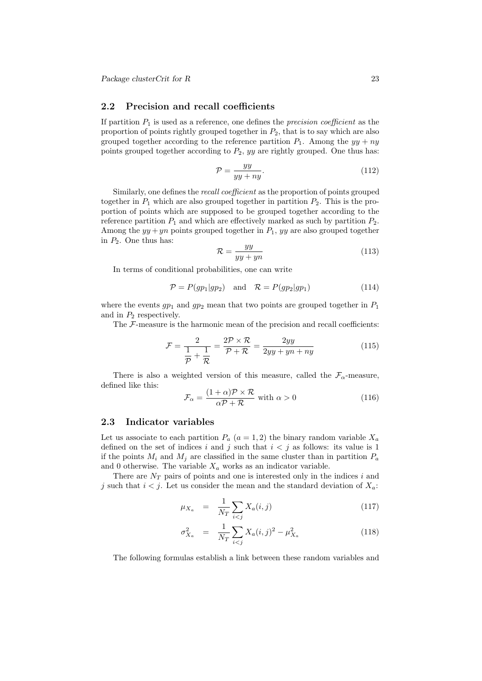## 2.2 Precision and recall coefficients

If partition  $P_1$  is used as a reference, one defines the *precision coefficient* as the proportion of points rightly grouped together in  $P_2$ , that is to say which are also grouped together according to the reference partition  $P_1$ . Among the  $yy + ny$ points grouped together according to  $P_2$ , yy are rightly grouped. One thus has:

$$
\mathcal{P} = \frac{yy}{yy + ny}.\tag{112}
$$

Similarly, one defines the recall coefficient as the proportion of points grouped together in  $P_1$  which are also grouped together in partition  $P_2$ . This is the proportion of points which are supposed to be grouped together according to the reference partition  $P_1$  and which are effectively marked as such by partition  $P_2$ . Among the  $yy +yn$  points grouped together in  $P_1$ ,  $yy$  are also grouped together in  $P_2$ . One thus has:

$$
\mathcal{R} = \frac{yy}{yy + yn} \tag{113}
$$

In terms of conditional probabilities, one can write

$$
\mathcal{P} = P(g p_1 | gp_2) \quad \text{and} \quad \mathcal{R} = P(g p_2 | gp_1) \tag{114}
$$

where the events  $gp_1$  and  $gp_2$  mean that two points are grouped together in  $P_1$ and in  $P_2$  respectively.

The F-measure is the harmonic mean of the precision and recall coefficients:

$$
\mathcal{F} = \frac{2}{\frac{1}{\mathcal{P}} + \frac{1}{\mathcal{R}}} = \frac{2\mathcal{P} \times \mathcal{R}}{\mathcal{P} + \mathcal{R}} = \frac{2yy}{2yy + yn + ny}
$$
(115)

There is also a weighted version of this measure, called the  $\mathcal{F}_{\alpha}$ -measure, defined like this:

$$
\mathcal{F}_{\alpha} = \frac{(1+\alpha)\mathcal{P} \times \mathcal{R}}{\alpha \mathcal{P} + \mathcal{R}} \text{ with } \alpha > 0 \tag{116}
$$

#### 2.3 Indicator variables

Let us associate to each partition  $P_a$   $(a = 1, 2)$  the binary random variable  $X_a$ defined on the set of indices i and j such that  $i < j$  as follows: its value is 1 if the points  $M_i$  and  $M_j$  are classified in the same cluster than in partition  $P_a$ and 0 otherwise. The variable  $X_a$  works as an indicator variable.

There are  $N_T$  pairs of points and one is interested only in the indices i and j such that  $i < j$ . Let us consider the mean and the standard deviation of  $X_a$ :

$$
\mu_{X_a} = \frac{1}{N_T} \sum_{i < j} X_a(i, j) \tag{117}
$$

$$
\sigma_{X_a}^2 = \frac{1}{N_T} \sum_{i < j} X_a(i, j)^2 - \mu_{X_a}^2 \tag{118}
$$

The following formulas establish a link between these random variables and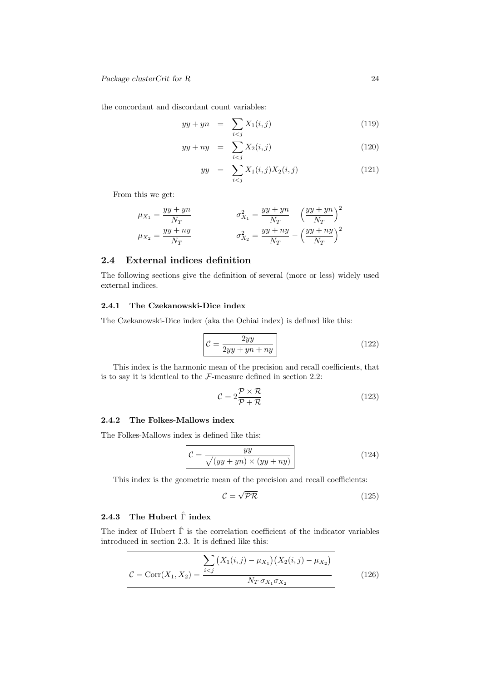the concordant and discordant count variables:

$$
yy + yn = \sum_{i < j} X_1(i, j) \tag{119}
$$

$$
yy + ny = \sum_{i < j} X_2(i, j) \tag{120}
$$

$$
yy = \sum_{i < j} X_1(i,j) X_2(i,j) \tag{121}
$$

From this we get:

$$
\mu_{X_1} = \frac{yy + yn}{N_T} \qquad \sigma_{X_1}^2 = \frac{yy + yn}{N_T} - \left(\frac{yy + yn}{N_T}\right)^2
$$

$$
\mu_{X_2} = \frac{yy + ny}{N_T} \qquad \sigma_{X_2}^2 = \frac{yy + ny}{N_T} - \left(\frac{yy + ny}{N_T}\right)^2
$$

# 2.4 External indices definition

The following sections give the definition of several (more or less) widely used external indices.

# 2.4.1 The Czekanowski-Dice index

The Czekanowski-Dice index (aka the Ochiai index) is defined like this:

$$
\mathcal{C} = \frac{2yy}{2yy + yn + ny} \tag{122}
$$

This index is the harmonic mean of the precision and recall coefficients, that is to say it is identical to the  $\mathcal{F}\text{-}\text{measure}$  defined in section 2.2:

$$
\mathcal{C} = 2 \frac{\mathcal{P} \times \mathcal{R}}{\mathcal{P} + \mathcal{R}}
$$
\n(123)

# 2.4.2 The Folkes-Mallows index

The Folkes-Mallows index is defined like this:

$$
\mathcal{C} = \frac{yy}{\sqrt{(yy + yn) \times (yy + ny)}}
$$
(124)

This index is the geometric mean of the precision and recall coefficients:

$$
\mathcal{C} = \sqrt{\mathcal{PR}}\tag{125}
$$

# 2.4.3 The Hubert  $\hat{\Gamma}$  index

The index of Hubert  $\hat{\Gamma}$  is the correlation coefficient of the indicator variables introduced in section 2.3. It is defined like this:

$$
\mathcal{C} = \text{Corr}(X_1, X_2) = \frac{\sum_{i < j} \left( X_1(i, j) - \mu_{X_1} \right) \left( X_2(i, j) - \mu_{X_2} \right)}{N_T \sigma_{X_1} \sigma_{X_2}} \tag{126}
$$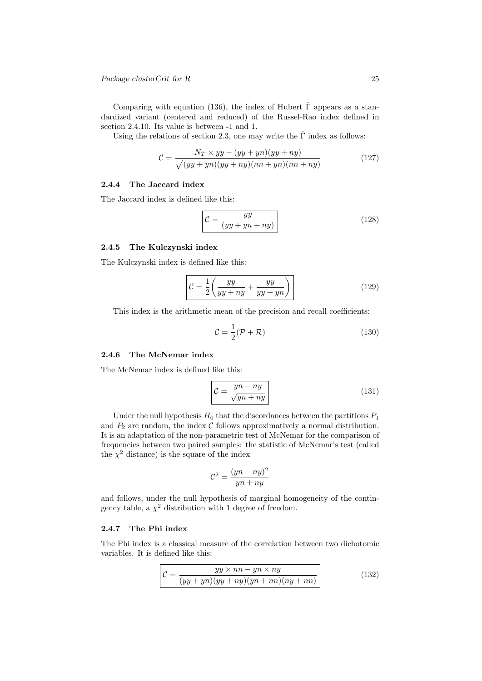Package clusterCrit for R 25

Comparing with equation (136), the index of Hubert  $\hat{\Gamma}$  appears as a standardized variant (centered and reduced) of the Russel-Rao index defined in section 2.4.10. Its value is between -1 and 1.

Using the relations of section 2.3, one may write the  $\hat{\Gamma}$  index as follows:

$$
\mathcal{C} = \frac{N_T \times yy - (yy + yn)(yy + ny)}{\sqrt{(yy + yn)(yy + ny)(nn + yn)(nn + ny)}}
$$
(127)

# 2.4.4 The Jaccard index

The Jaccard index is defined like this:

$$
\mathcal{C} = \frac{yy}{(yy + yn + ny)}
$$
\n(128)

## 2.4.5 The Kulczynski index

The Kulczynski index is defined like this:

$$
\mathcal{C} = \frac{1}{2} \left( \frac{yy}{yy + ny} + \frac{yy}{yy + yn} \right)
$$
 (129)

This index is the arithmetic mean of the precision and recall coefficients:

$$
\mathcal{C} = \frac{1}{2}(\mathcal{P} + \mathcal{R})\tag{130}
$$

# 2.4.6 The McNemar index

The McNemar index is defined like this:

$$
\mathcal{C} = \frac{yn - ny}{\sqrt{yn + ny}}\tag{131}
$$

Under the null hypothesis  $H_0$  that the discordances between the partitions  $P_1$ and  $P_2$  are random, the index  $C$  follows approximatively a normal distribution. It is an adaptation of the non-parametric test of McNemar for the comparison of frequencies between two paired samples: the statistic of McNemar's test (called the  $\chi^2$  distance) is the square of the index

$$
\mathcal{C}^2 = \frac{(yn - ny)^2}{yn + ny}
$$

and follows, under the null hypothesis of marginal homogeneity of the contingency table, a  $\chi^2$  distribution with 1 degree of freedom.

#### 2.4.7 The Phi index

The Phi index is a classical measure of the correlation between two dichotomic variables. It is defined like this:

$$
\mathcal{C} = \frac{yy \times nn - yn \times ny}{(yy + yn)(yy + ny)(yn + nn)(ny + nn)}
$$
\n(132)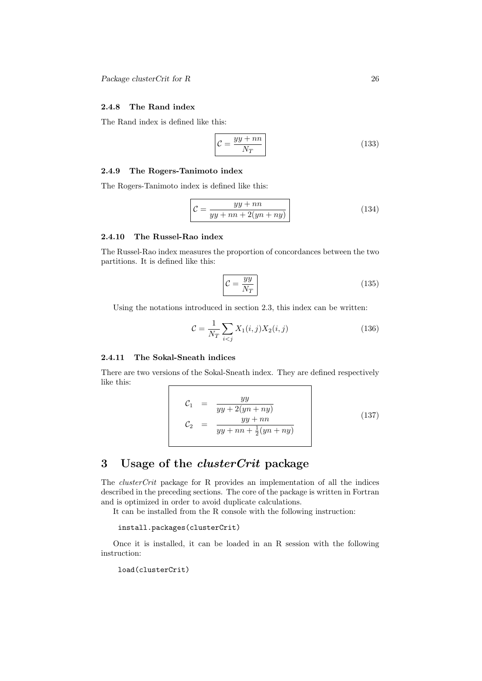# 2.4.8 The Rand index

The Rand index is defined like this:

$$
\mathcal{C} = \frac{yy + nn}{N_T} \tag{133}
$$

#### 2.4.9 The Rogers-Tanimoto index

The Rogers-Tanimoto index is defined like this:

$$
\mathcal{C} = \frac{yy + nn}{yy + nn + 2(yn + ny)}
$$
\n(134)

#### 2.4.10 The Russel-Rao index

The Russel-Rao index measures the proportion of concordances between the two partitions. It is defined like this:

$$
\mathcal{C} = \frac{yy}{N_T} \tag{135}
$$

Using the notations introduced in section 2.3, this index can be written:

$$
\mathcal{C} = \frac{1}{N_T} \sum_{i < j} X_1(i, j) X_2(i, j) \tag{136}
$$

# 2.4.11 The Sokal-Sneath indices

There are two versions of the Sokal-Sneath index. They are defined respectively like this:

$$
C_1 = \frac{yy}{yy + 2(yn + ny)}
$$
  
\n
$$
C_2 = \frac{yy + nn}{yy + nn + \frac{1}{2}(yn + ny)}
$$
\n(137)

# 3 Usage of the clusterCrit package

The clusterCrit package for R provides an implementation of all the indices described in the preceding sections. The core of the package is written in Fortran and is optimized in order to avoid duplicate calculations.

It can be installed from the R console with the following instruction:

install.packages(clusterCrit)

Once it is installed, it can be loaded in an R session with the following instruction:

load(clusterCrit)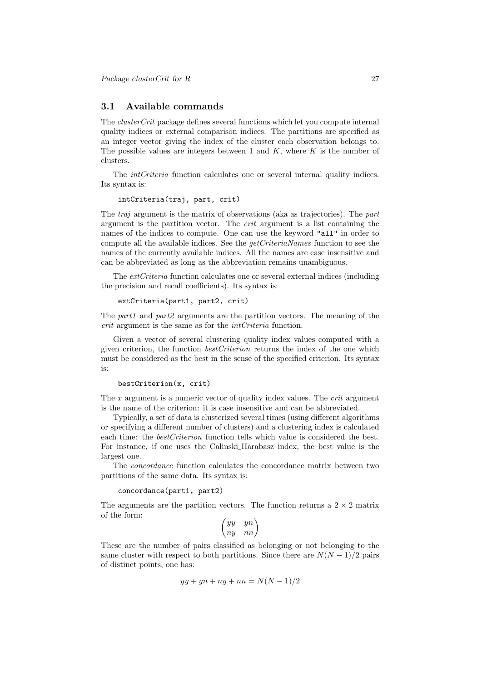## 3.1 Available commands

The clusterCrit package defines several functions which let you compute internal quality indices or external comparison indices. The partitions are specified as an integer vector giving the index of the cluster each observation belongs to. The possible values are integers between 1 and  $K$ , where  $K$  is the number of clusters.

The *intCriteria* function calculates one or several internal quality indices. Its syntax is:

intCriteria(traj, part, crit)

The traj argument is the matrix of observations (aka as trajectories). The part argument is the partition vector. The crit argument is a list containing the names of the indices to compute. One can use the keyword "all" in order to compute all the available indices. See the  $qetCriteriaNames$  function to see the names of the currently available indices. All the names are case insensitive and can be abbreviated as long as the abbreviation remains unambiguous.

The extCriteria function calculates one or several external indices (including the precision and recall coefficients). Its syntax is:

extCriteria(part1, part2, crit)

The *part1* and *part2* arguments are the partition vectors. The meaning of the crit argument is the same as for the intCriteria function.

Given a vector of several clustering quality index values computed with a given criterion, the function *bestCriterion* returns the index of the one which must be considered as the best in the sense of the specified criterion. Its syntax is:

```
bestCriterion(x, crit)
```
The x argument is a numeric vector of quality index values. The *crit* argument is the name of the criterion: it is case insensitive and can be abbreviated.

Typically, a set of data is clusterized several times (using different algorithms or specifying a different number of clusters) and a clustering index is calculated each time: the *bestCriterion* function tells which value is considered the best. For instance, if one uses the Calinski Harabasz index, the best value is the largest one.

The concordance function calculates the concordance matrix between two partitions of the same data. Its syntax is:

#### concordance(part1, part2)

The arguments are the partition vectors. The function returns a  $2 \times 2$  matrix of the form:

$$
\begin{pmatrix} yy & yn \\ ny & nn \end{pmatrix}
$$

These are the number of pairs classified as belonging or not belonging to the same cluster with respect to both partitions. Since there are  $N(N-1)/2$  pairs of distinct points, one has:

$$
yy + yn + ny + nn = N(N-1)/2
$$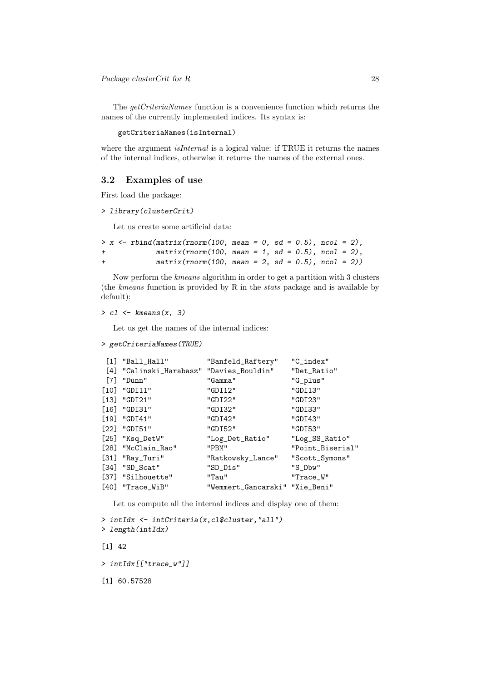The *getCriteriaNames* function is a convenience function which returns the names of the currently implemented indices. Its syntax is:

getCriteriaNames(isInternal)

where the argument *isInternal* is a logical value: if TRUE it returns the names of the internal indices, otherwise it returns the names of the external ones.

#### 3.2 Examples of use

First load the package:

> library(clusterCrit)

Let us create some artificial data:

```
> x \leftarrow \text{rbind}(\text{matrix}(rnorm(100, mean = 0, sd = 0.5), ncol = 2),+ matrix(rnorm(100, mean = 1, sd = 0.5), ncol = 2),
+ matrix(rnorm(100, mean = 2, sd = 0.5), ncol = 2))
```
Now perform the kmeans algorithm in order to get a partition with 3 clusters (the kmeans function is provided by R in the stats package and is available by default):

```
> c1 \leftarrow kmeans(x, 3)
```
Let us get the names of the internal indices:

```
> getCriteriaNames(TRUE)
```

|     | $[1]$ "Ball_Hall"                        | "Banfeld_Raftery"              | $"C_$ index"     |
|-----|------------------------------------------|--------------------------------|------------------|
|     | [4] "Calinski_Harabasz" "Davies_Bouldin" |                                | "Det_Ratio"      |
| [7] | "Dunn"                                   | "Gamma"                        | "G_plus"         |
|     | $[10]$ "GDI11"                           | "GDI12"                        | "GDI13"          |
|     | $[13]$ "GDI21"                           | "GDI22"                        | "GDI23"          |
|     | $\lceil 16 \rceil$ "GDI31"               | "GDI32"                        | "GDI33"          |
|     | $[19]$ "GDI41"                           | "GDI42"                        | "GDI43"          |
|     | [22] "GDI51"                             | "GDI52"                        | "GDI53"          |
|     | [25] "Ksq_DetW"                          | "Log_Det_Ratio"                | "Log_SS_Ratio"   |
|     | [28] "McClain_Rao"                       | "PBM"                          | "Point_Biserial" |
|     | $[31]$ "Ray_Turi"                        | "Ratkowsky_Lance"              | "Scott_Symons"   |
|     | $[34]$ "SD_Scat"                         | "SD_Dis"                       | $"S_D$ bw $"$    |
|     | [37] "Silhouette"                        | "Tau"                          | "Trace_W"        |
|     | $[40]$ "Trace_WiB"                       | "Wemmert_Gancarski" "Xie_Beni" |                  |

Let us compute all the internal indices and display one of them:

```
> intIdx <- intCriteria(x,cl$cluster,"all")
> length(intIdx)
[1] 42
> intIdx[["trace_w"]]
[1] 60.57528
```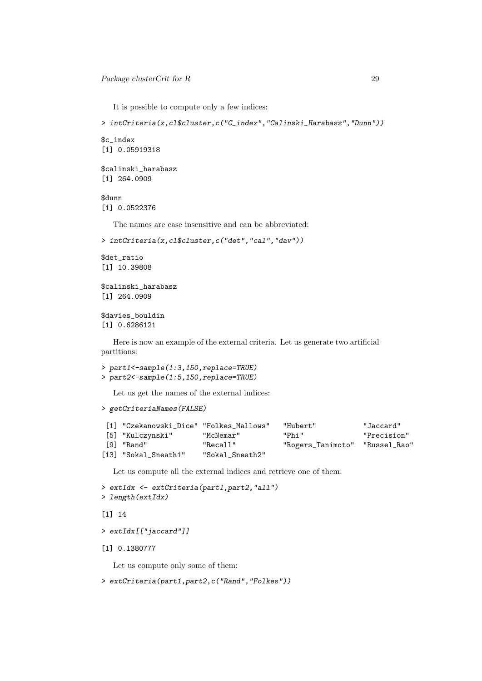It is possible to compute only a few indices:

```
> intCriteria(x,cl$cluster,c("C_index","Calinski_Harabasz","Dunn"))
```
\$c\_index [1] 0.05919318

```
$calinski_harabasz
[1] 264.0909
```
\$dunn

[1] 0.0522376

The names are case insensitive and can be abbreviated:

```
> intCriteria(x,cl$cluster,c("det","cal","dav"))
```

```
$det_ratio
[1] 10.39808
```
\$calinski\_harabasz [1] 264.0909

\$davies\_bouldin [1] 0.6286121

Here is now an example of the external criteria. Let us generate two artificial partitions:

```
> part1<-sample(1:3,150,replace=TRUE)
> part2<-sample(1:5,150,replace=TRUE)
```
Let us get the names of the external indices:

```
> getCriteriaNames(FALSE)
```

| [1] "Czekanowski Dice" "Folkes Mallows" |                 | "Hubert"                       | "Jaccard"   |
|-----------------------------------------|-----------------|--------------------------------|-------------|
| [5] "Kulczynski"                        | "McNemar"       | "Phi"                          | "Precision" |
| [9] "Rand"                              | "Recall"        | "Rogers_Tanimoto" "Russel_Rao" |             |
| [13] "Sokal_Sneath1"                    | "Sokal Sneath2" |                                |             |

Let us compute all the external indices and retrieve one of them:

```
> extIdx <- extCriteria(part1,part2,"all")
> length(extIdx)
[1] 14
```

```
> extIdx[["jaccard"]]
```
[1] 0.1380777

Let us compute only some of them:

```
> extCriteria(part1,part2,c("Rand","Folkes"))
```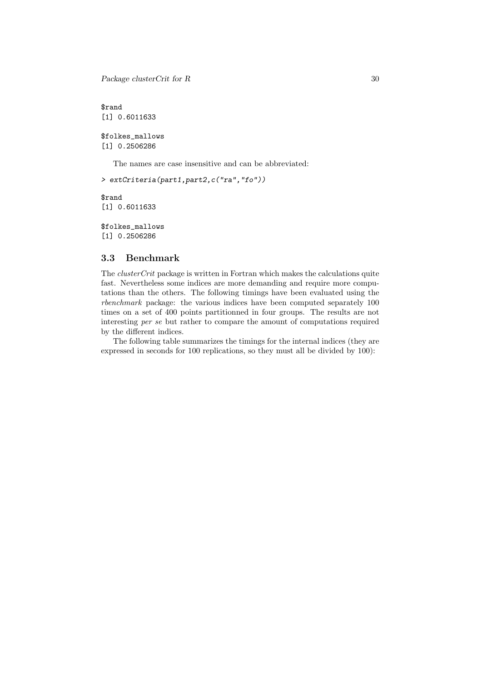Package clusterCrit for R 30

\$rand [1] 0.6011633 \$folkes\_mallows

[1] 0.2506286

The names are case insensitive and can be abbreviated:

> extCriteria(part1,part2,c("ra","fo"))

\$rand [1] 0.6011633

\$folkes\_mallows [1] 0.2506286

# 3.3 Benchmark

The *clusterCrit* package is written in Fortran which makes the calculations quite fast. Nevertheless some indices are more demanding and require more computations than the others. The following timings have been evaluated using the rbenchmark package: the various indices have been computed separately 100 times on a set of 400 points partitionned in four groups. The results are not interesting per se but rather to compare the amount of computations required by the different indices.

The following table summarizes the timings for the internal indices (they are expressed in seconds for 100 replications, so they must all be divided by 100):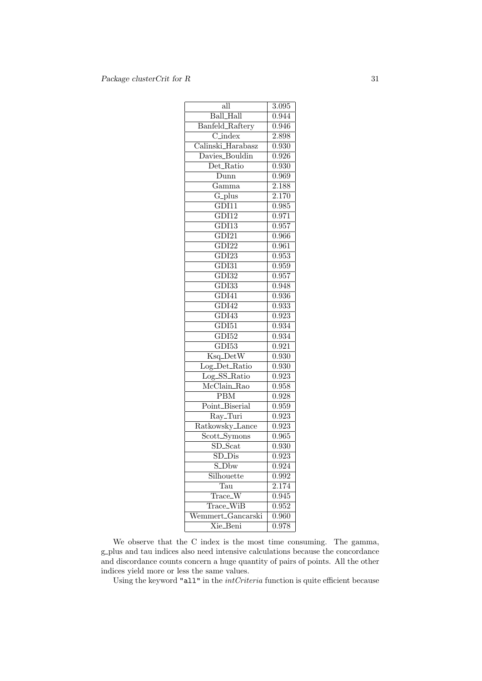| $\overline{\text{all}}$                | $\overline{3.09}5$ |
|----------------------------------------|--------------------|
| <b>Ball_Hall</b>                       | 0.944              |
| Banfeld_Raftery                        | 0.946              |
| $\overline{\text{C}_\text{index}}$     | 2.898              |
| $\overline{\text{Calinski\_Harabasz}}$ | $0.\overline{930}$ |
| Davies_Bouldin                         | 0.926              |
| Det_Ratio                              | 0.930              |
| Dunn                                   | 0.969              |
| $\overline{\text{Gamma}}$              | 2.188              |
| $\overline{G_{\text{-}plus}}$          | $\overline{2.170}$ |
| $\overline{\text{GD11}}$               | 0.985              |
| $\overline{\text{GD112}}$              | 0.971              |
| GDI13                                  | 0.957              |
| $\overline{\text{GD121}}$              | 0.966              |
| $\overline{\text{GDI}22}$              | 0.961              |
| $\overline{\text{GD}123}$              | 0.953              |
| $\overline{\text{GD131}}$              | 0.959              |
| $\overline{\mathrm{GDI}32}$            | 0.957              |
| GDI33                                  | 0.948              |
| $\overline{\text{GD141}}$              | 0.936              |
| $\overline{\text{GDI}42}$              | $\overline{0.933}$ |
| $\overline{\text{GDI}43}$              | $\overline{0.923}$ |
| $\overline{\text{GD151}}$              | 0.934              |
| GDI52                                  | $\overline{0.934}$ |
| $\overline{\text{GDI}53}$              | 0.921              |
| $\overline{\text{Ksq}\_}\text{DetW}$   | 0.930              |
| Log_Det_Ratio                          | 0.930              |
| Log_SS_Ratio                           | 0.923              |
| $\overline{\text{McClaim\_Rao}}$       | $\overline{0.958}$ |
| $\overline{\mathrm{PBM}}$              | $0.\overline{928}$ |
| Point_Biserial                         | 0.959              |
| $\overline{\text{Ray\_Turi}}$          | $\overline{0.923}$ |
| Ratkowsky_Lance                        | 0.923              |
| Scott_Symons                           | 0.965              |
| $SD\_Scat$                             | 0.930              |
| $\overline{\mathrm{SD\_Dis}}$          | 0.923              |
| S_Dbw                                  | ${0.924}$          |
| Silhouette                             | 0.992              |
| Tau                                    | 2.174              |
| Trace_W                                | 0.945              |
| Trace_WiB                              | 0.952              |
| Wemmert_Gancarski                      | 0.960              |
| Xie_Beni                               | 0.978              |

We observe that the C index is the most time consuming. The gamma, g plus and tau indices also need intensive calculations because the concordance and discordance counts concern a huge quantity of pairs of points. All the other indices yield more or less the same values.

Using the keyword "all" in the *intCriteria* function is quite efficient because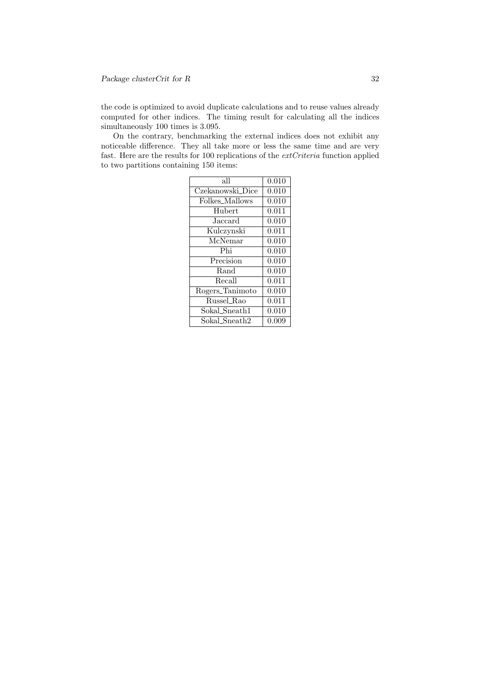the code is optimized to avoid duplicate calculations and to reuse values already computed for other indices. The timing result for calculating all the indices simultaneously 100 times is 3.095.

On the contrary, benchmarking the external indices does not exhibit any noticeable difference. They all take more or less the same time and are very fast. Here are the results for 100 replications of the extCriteria function applied to two partitions containing 150 items:

| all              | $\overline{0.010}$ |
|------------------|--------------------|
| Czekanowski_Dice | 0.010              |
| Folkes_Mallows   | 0.010              |
| Hubert           | 0.011              |
| Jaccard          | 0.010              |
| Kulczynski       | 0.011              |
| McNemar          | 0.010              |
| Phi              | 0.010              |
| Precision        | 0.010              |
| Rand             | $\overline{0.010}$ |
| Recall           | 0.011              |
| Rogers_Tanimoto  | 0.010              |
| Russel_Rao       | 0.011              |
| Sokal_Sneath1    | 0.010              |
| Sokal Sneath2    | 0.009              |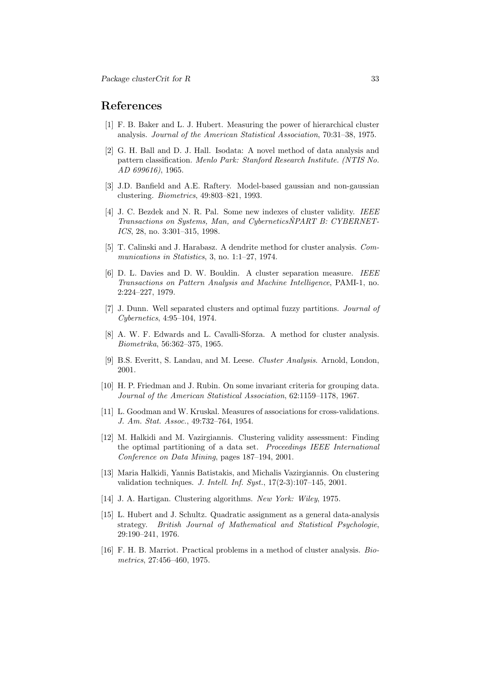# References

- [1] F. B. Baker and L. J. Hubert. Measuring the power of hierarchical cluster analysis. Journal of the American Statistical Association, 70:31–38, 1975.
- [2] G. H. Ball and D. J. Hall. Isodata: A novel method of data analysis and pattern classification. Menlo Park: Stanford Research Institute. (NTIS No. AD 699616), 1965.
- [3] J.D. Banfield and A.E. Raftery. Model-based gaussian and non-gaussian clustering. Biometrics, 49:803–821, 1993.
- [4] J. C. Bezdek and N. R. Pal. Some new indexes of cluster validity. IEEE Transactions on Systems, Man, and CyberneticsNPART B: CYBERNET-ICS, 28, no. 3:301–315, 1998.
- [5] T. Calinski and J. Harabasz. A dendrite method for cluster analysis. Communications in Statistics, 3, no. 1:1-27, 1974.
- [6] D. L. Davies and D. W. Bouldin. A cluster separation measure. IEEE Transactions on Pattern Analysis and Machine Intelligence, PAMI-1, no. 2:224–227, 1979.
- [7] J. Dunn. Well separated clusters and optimal fuzzy partitions. Journal of Cybernetics, 4:95–104, 1974.
- [8] A. W. F. Edwards and L. Cavalli-Sforza. A method for cluster analysis. Biometrika, 56:362–375, 1965.
- [9] B.S. Everitt, S. Landau, and M. Leese. Cluster Analysis. Arnold, London, 2001.
- [10] H. P. Friedman and J. Rubin. On some invariant criteria for grouping data. Journal of the American Statistical Association, 62:1159–1178, 1967.
- [11] L. Goodman and W. Kruskal. Measures of associations for cross-validations. J. Am. Stat. Assoc., 49:732–764, 1954.
- [12] M. Halkidi and M. Vazirgiannis. Clustering validity assessment: Finding the optimal partitioning of a data set. Proceedings IEEE International Conference on Data Mining, pages 187–194, 2001.
- [13] Maria Halkidi, Yannis Batistakis, and Michalis Vazirgiannis. On clustering validation techniques. J. Intell. Inf. Syst., 17(2-3):107–145, 2001.
- [14] J. A. Hartigan. Clustering algorithms. New York: Wiley, 1975.
- [15] L. Hubert and J. Schultz. Quadratic assignment as a general data-analysis strategy. British Journal of Mathematical and Statistical Psychologie, 29:190–241, 1976.
- [16] F. H. B. Marriot. Practical problems in a method of cluster analysis. Biometrics, 27:456–460, 1975.